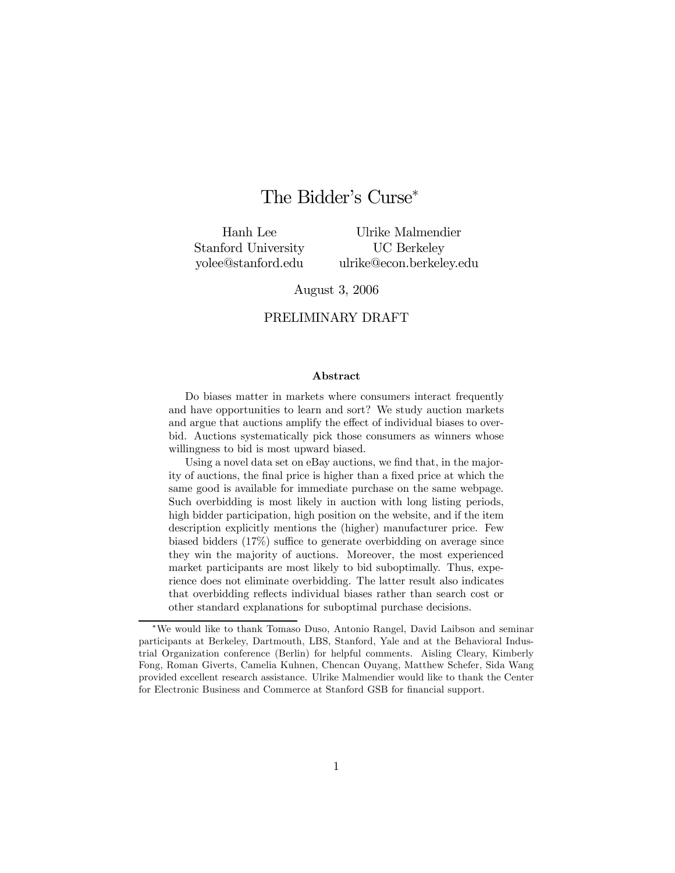# The Bidder's Curse<sup>∗</sup>

Hanh Lee Stanford University yolee@stanford.edu

Ulrike Malmendier UC Berkeley ulrike@econ.berkeley.edu

#### August 3, 2006

#### PRELIMINARY DRAFT

#### Abstract

Do biases matter in markets where consumers interact frequently and have opportunities to learn and sort? We study auction markets and argue that auctions amplify the effect of individual biases to overbid. Auctions systematically pick those consumers as winners whose willingness to bid is most upward biased.

Using a novel data set on eBay auctions, we find that, in the majority of auctions, the final price is higher than a fixed price at which the same good is available for immediate purchase on the same webpage. Such overbidding is most likely in auction with long listing periods, high bidder participation, high position on the website, and if the item description explicitly mentions the (higher) manufacturer price. Few biased bidders (17%) suffice to generate overbidding on average since they win the majority of auctions. Moreover, the most experienced market participants are most likely to bid suboptimally. Thus, experience does not eliminate overbidding. The latter result also indicates that overbidding reflects individual biases rather than search cost or other standard explanations for suboptimal purchase decisions.

<sup>∗</sup>We would like to thank Tomaso Duso, Antonio Rangel, David Laibson and seminar participants at Berkeley, Dartmouth, LBS, Stanford, Yale and at the Behavioral Industrial Organization conference (Berlin) for helpful comments. Aisling Cleary, Kimberly Fong, Roman Giverts, Camelia Kuhnen, Chencan Ouyang, Matthew Schefer, Sida Wang provided excellent research assistance. Ulrike Malmendier would like to thank the Center for Electronic Business and Commerce at Stanford GSB for financial support.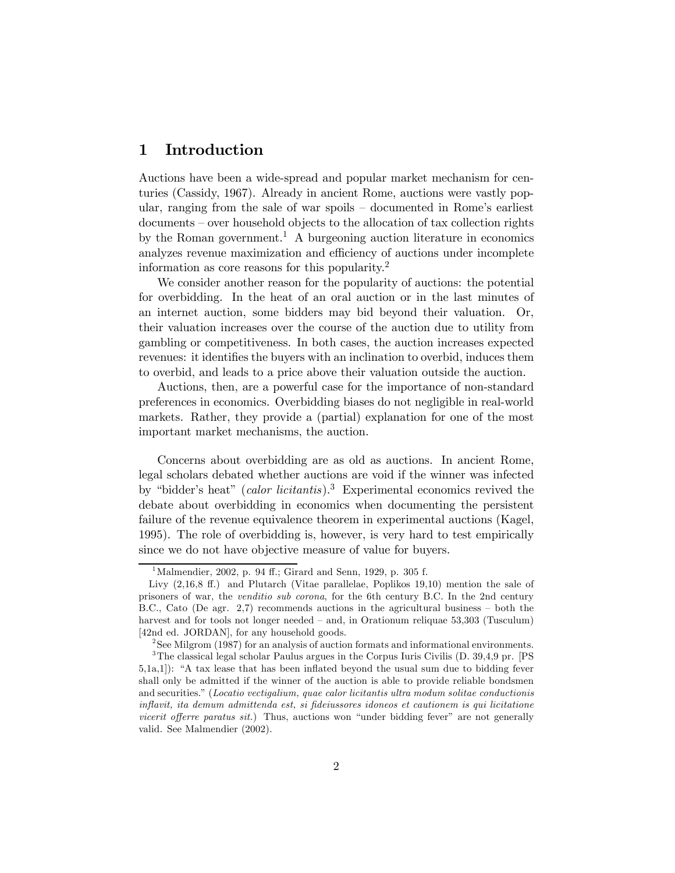# 1 Introduction

Auctions have been a wide-spread and popular market mechanism for centuries (Cassidy, 1967). Already in ancient Rome, auctions were vastly popular, ranging from the sale of war spoils — documented in Rome's earliest documents — over household objects to the allocation of tax collection rights by the Roman government.<sup>1</sup> A burgeoning auction literature in economics analyzes revenue maximization and efficiency of auctions under incomplete information as core reasons for this popularity.2

We consider another reason for the popularity of auctions: the potential for overbidding. In the heat of an oral auction or in the last minutes of an internet auction, some bidders may bid beyond their valuation. Or, their valuation increases over the course of the auction due to utility from gambling or competitiveness. In both cases, the auction increases expected revenues: it identifies the buyers with an inclination to overbid, induces them to overbid, and leads to a price above their valuation outside the auction.

Auctions, then, are a powerful case for the importance of non-standard preferences in economics. Overbidding biases do not negligible in real-world markets. Rather, they provide a (partial) explanation for one of the most important market mechanisms, the auction.

Concerns about overbidding are as old as auctions. In ancient Rome, legal scholars debated whether auctions are void if the winner was infected by "bidder's heat" (*calor licitantis*).<sup>3</sup> Experimental economics revived the debate about overbidding in economics when documenting the persistent failure of the revenue equivalence theorem in experimental auctions (Kagel, 1995). The role of overbidding is, however, is very hard to test empirically since we do not have objective measure of value for buyers.

<sup>&</sup>lt;sup>1</sup>Malmendier, 2002, p. 94 ff.; Girard and Senn, 1929, p. 305 f.

Livy (2,16,8 ff.) and Plutarch (Vitae parallelae, Poplikos 19,10) mention the sale of prisoners of war, the venditio sub corona, for the 6th century B.C. In the 2nd century B.C., Cato (De agr. 2,7) recommends auctions in the agricultural business — both the harvest and for tools not longer needed – and, in Orationum reliquae 53,303 (Tusculum) [42nd ed. JORDAN], for any household goods.

 $2$ See Milgrom (1987) for an analysis of auction formats and informational environments. 3The classical legal scholar Paulus argues in the Corpus Iuris Civilis (D. 39,4,9 pr. [PS 5,1a,1]): "A tax lease that has been inflated beyond the usual sum due to bidding fever shall only be admitted if the winner of the auction is able to provide reliable bondsmen and securities." (Locatio vectigalium, quae calor licitantis ultra modum solitae conductionis inflavit, ita demum admittenda est, si fideiussores idoneos et cautionem is qui licitatione vicerit offerre paratus sit.) Thus, auctions won "under bidding fever" are not generally valid. See Malmendier (2002).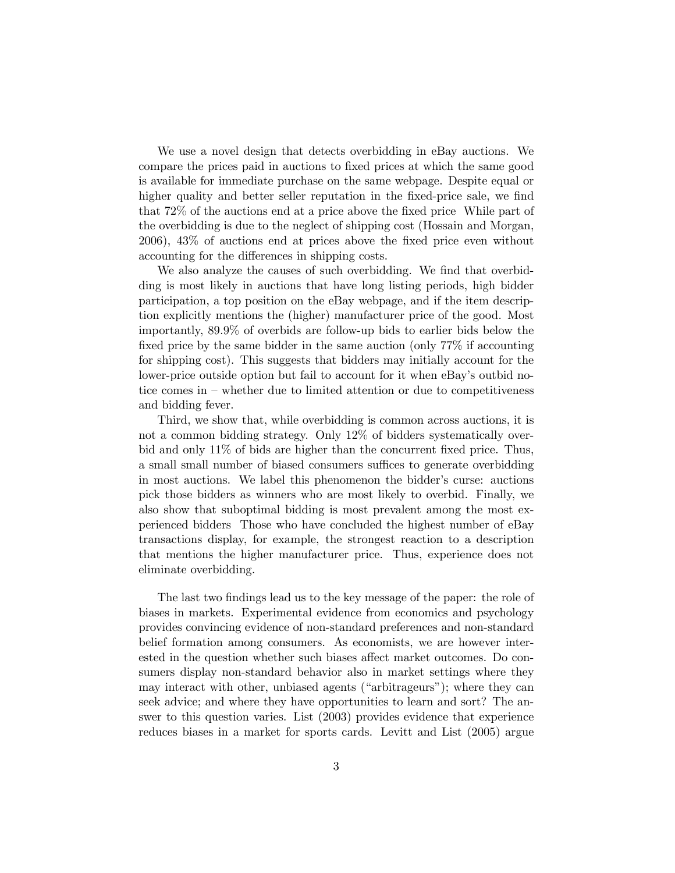We use a novel design that detects overbidding in eBay auctions. We compare the prices paid in auctions to fixed prices at which the same good is available for immediate purchase on the same webpage. Despite equal or higher quality and better seller reputation in the fixed-price sale, we find that 72% of the auctions end at a price above the fixed price While part of the overbidding is due to the neglect of shipping cost (Hossain and Morgan, 2006), 43% of auctions end at prices above the fixed price even without accounting for the differences in shipping costs.

We also analyze the causes of such overbidding. We find that overbidding is most likely in auctions that have long listing periods, high bidder participation, a top position on the eBay webpage, and if the item description explicitly mentions the (higher) manufacturer price of the good. Most importantly, 89.9% of overbids are follow-up bids to earlier bids below the fixed price by the same bidder in the same auction (only 77% if accounting for shipping cost). This suggests that bidders may initially account for the lower-price outside option but fail to account for it when eBay's outbid notice comes in — whether due to limited attention or due to competitiveness and bidding fever.

Third, we show that, while overbidding is common across auctions, it is not a common bidding strategy. Only 12% of bidders systematically overbid and only 11% of bids are higher than the concurrent fixed price. Thus, a small small number of biased consumers suffices to generate overbidding in most auctions. We label this phenomenon the bidder's curse: auctions pick those bidders as winners who are most likely to overbid. Finally, we also show that suboptimal bidding is most prevalent among the most experienced bidders Those who have concluded the highest number of eBay transactions display, for example, the strongest reaction to a description that mentions the higher manufacturer price. Thus, experience does not eliminate overbidding.

The last two findings lead us to the key message of the paper: the role of biases in markets. Experimental evidence from economics and psychology provides convincing evidence of non-standard preferences and non-standard belief formation among consumers. As economists, we are however interested in the question whether such biases affect market outcomes. Do consumers display non-standard behavior also in market settings where they may interact with other, unbiased agents ("arbitrageurs"); where they can seek advice; and where they have opportunities to learn and sort? The answer to this question varies. List (2003) provides evidence that experience reduces biases in a market for sports cards. Levitt and List (2005) argue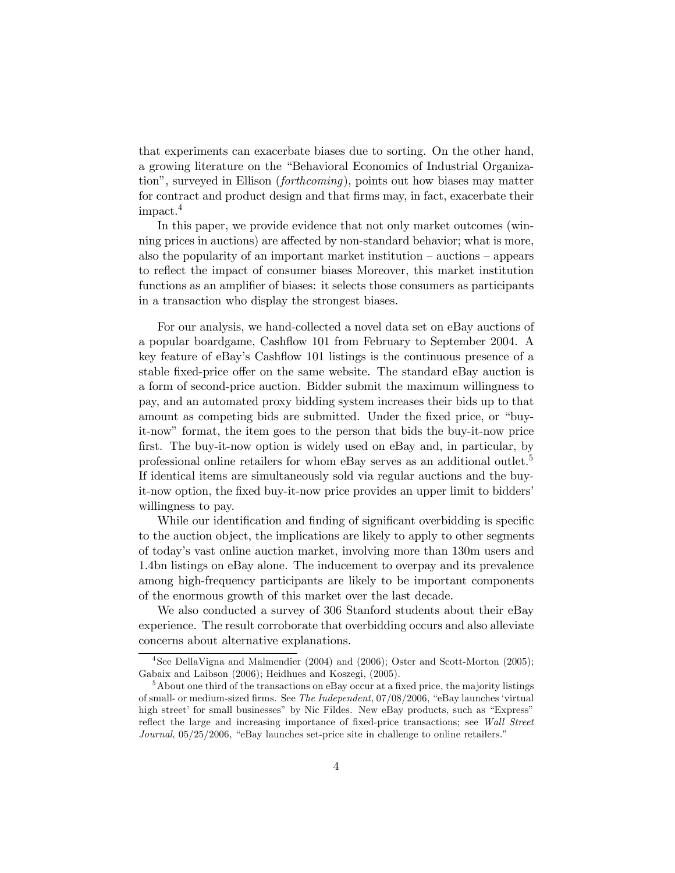that experiments can exacerbate biases due to sorting. On the other hand, a growing literature on the "Behavioral Economics of Industrial Organization", surveyed in Ellison (forthcoming), points out how biases may matter for contract and product design and that firms may, in fact, exacerbate their impact.4

In this paper, we provide evidence that not only market outcomes (winning prices in auctions) are affected by non-standard behavior; what is more, also the popularity of an important market institution — auctions — appears to reflect the impact of consumer biases Moreover, this market institution functions as an amplifier of biases: it selects those consumers as participants in a transaction who display the strongest biases.

For our analysis, we hand-collected a novel data set on eBay auctions of a popular boardgame, Cashflow 101 from February to September 2004. A key feature of eBay's Cashflow 101 listings is the continuous presence of a stable fixed-price offer on the same website. The standard eBay auction is a form of second-price auction. Bidder submit the maximum willingness to pay, and an automated proxy bidding system increases their bids up to that amount as competing bids are submitted. Under the fixed price, or "buyit-now" format, the item goes to the person that bids the buy-it-now price first. The buy-it-now option is widely used on eBay and, in particular, by professional online retailers for whom eBay serves as an additional outlet.<sup>5</sup> If identical items are simultaneously sold via regular auctions and the buyit-now option, the fixed buy-it-now price provides an upper limit to bidders' willingness to pay.

While our identification and finding of significant overbidding is specific to the auction object, the implications are likely to apply to other segments of today's vast online auction market, involving more than 130m users and 1.4bn listings on eBay alone. The inducement to overpay and its prevalence among high-frequency participants are likely to be important components of the enormous growth of this market over the last decade.

We also conducted a survey of 306 Stanford students about their eBay experience. The result corroborate that overbidding occurs and also alleviate concerns about alternative explanations.

<sup>&</sup>lt;sup>4</sup>See DellaVigna and Malmendier (2004) and (2006); Oster and Scott-Morton (2005); Gabaix and Laibson (2006); Heidhues and Koszegi, (2005).

 $5A$ bout one third of the transactions on eBay occur at a fixed price, the majority listings of small- or medium-sized firms. See The Independent, 07/08/2006, "eBay launches 'virtual high street' for small businesses" by Nic Fildes. New eBay products, such as "Express" reflect the large and increasing importance of fixed-price transactions; see Wall Street Journal, 05/25/2006, "eBay launches set-price site in challenge to online retailers."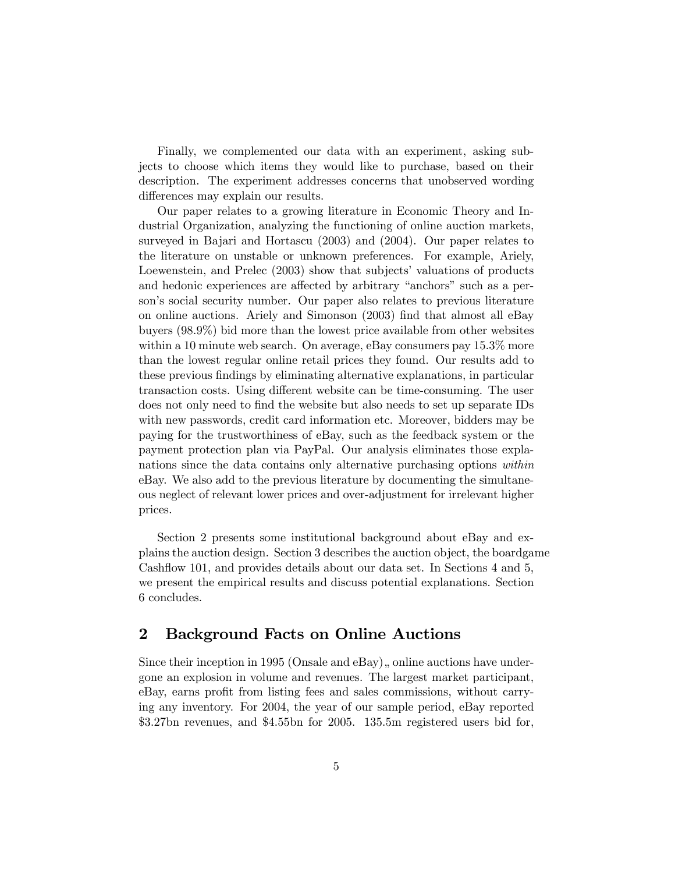Finally, we complemented our data with an experiment, asking subjects to choose which items they would like to purchase, based on their description. The experiment addresses concerns that unobserved wording differences may explain our results.

Our paper relates to a growing literature in Economic Theory and Industrial Organization, analyzing the functioning of online auction markets, surveyed in Bajari and Hortascu (2003) and (2004). Our paper relates to the literature on unstable or unknown preferences. For example, Ariely, Loewenstein, and Prelec (2003) show that subjects' valuations of products and hedonic experiences are affected by arbitrary "anchors" such as a person's social security number. Our paper also relates to previous literature on online auctions. Ariely and Simonson (2003) find that almost all eBay buyers (98.9%) bid more than the lowest price available from other websites within a 10 minute web search. On average, eBay consumers pay 15.3% more than the lowest regular online retail prices they found. Our results add to these previous findings by eliminating alternative explanations, in particular transaction costs. Using different website can be time-consuming. The user does not only need to find the website but also needs to set up separate IDs with new passwords, credit card information etc. Moreover, bidders may be paying for the trustworthiness of eBay, such as the feedback system or the payment protection plan via PayPal. Our analysis eliminates those explanations since the data contains only alternative purchasing options within eBay. We also add to the previous literature by documenting the simultaneous neglect of relevant lower prices and over-adjustment for irrelevant higher prices.

Section 2 presents some institutional background about eBay and explains the auction design. Section 3 describes the auction object, the boardgame Cashflow 101, and provides details about our data set. In Sections 4 and 5, we present the empirical results and discuss potential explanations. Section 6 concludes.

# 2 Background Facts on Online Auctions

Since their inception in 1995 (Onsale and  $e$ Bay), online auctions have undergone an explosion in volume and revenues. The largest market participant, eBay, earns profit from listing fees and sales commissions, without carrying any inventory. For 2004, the year of our sample period, eBay reported \$3.27bn revenues, and \$4.55bn for 2005. 135.5m registered users bid for,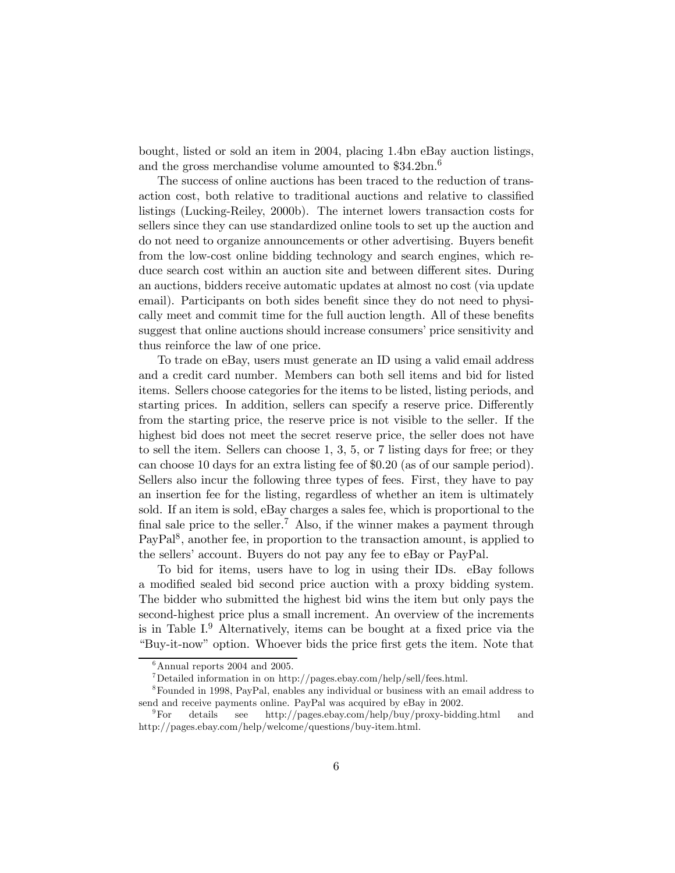bought, listed or sold an item in 2004, placing 1.4bn eBay auction listings, and the gross merchandise volume amounted to \$34.2bn.<sup>6</sup>

The success of online auctions has been traced to the reduction of transaction cost, both relative to traditional auctions and relative to classified listings (Lucking-Reiley, 2000b). The internet lowers transaction costs for sellers since they can use standardized online tools to set up the auction and do not need to organize announcements or other advertising. Buyers benefit from the low-cost online bidding technology and search engines, which reduce search cost within an auction site and between different sites. During an auctions, bidders receive automatic updates at almost no cost (via update email). Participants on both sides benefit since they do not need to physically meet and commit time for the full auction length. All of these benefits suggest that online auctions should increase consumers' price sensitivity and thus reinforce the law of one price.

To trade on eBay, users must generate an ID using a valid email address and a credit card number. Members can both sell items and bid for listed items. Sellers choose categories for the items to be listed, listing periods, and starting prices. In addition, sellers can specify a reserve price. Differently from the starting price, the reserve price is not visible to the seller. If the highest bid does not meet the secret reserve price, the seller does not have to sell the item. Sellers can choose 1, 3, 5, or 7 listing days for free; or they can choose 10 days for an extra listing fee of \$0.20 (as of our sample period). Sellers also incur the following three types of fees. First, they have to pay an insertion fee for the listing, regardless of whether an item is ultimately sold. If an item is sold, eBay charges a sales fee, which is proportional to the final sale price to the seller.<sup>7</sup> Also, if the winner makes a payment through PayPal<sup>8</sup>, another fee, in proportion to the transaction amount, is applied to the sellers' account. Buyers do not pay any fee to eBay or PayPal.

To bid for items, users have to log in using their IDs. eBay follows a modified sealed bid second price auction with a proxy bidding system. The bidder who submitted the highest bid wins the item but only pays the second-highest price plus a small increment. An overview of the increments is in Table  $I^9$ . Alternatively, items can be bought at a fixed price via the "Buy-it-now" option. Whoever bids the price first gets the item. Note that

 $6$ Annual reports 2004 and 2005.

 $^7$ Detailed information in on http://pages.ebay.com/help/sell/fees.html.

<sup>8</sup>Founded in 1998, PayPal, enables any individual or business with an email address to send and receive payments online. PayPal was acquired by eBay in 2002.

<sup>9</sup>For details see http://pages.ebay.com/help/buy/proxy-bidding.html and http://pages.ebay.com/help/welcome/questions/buy-item.html.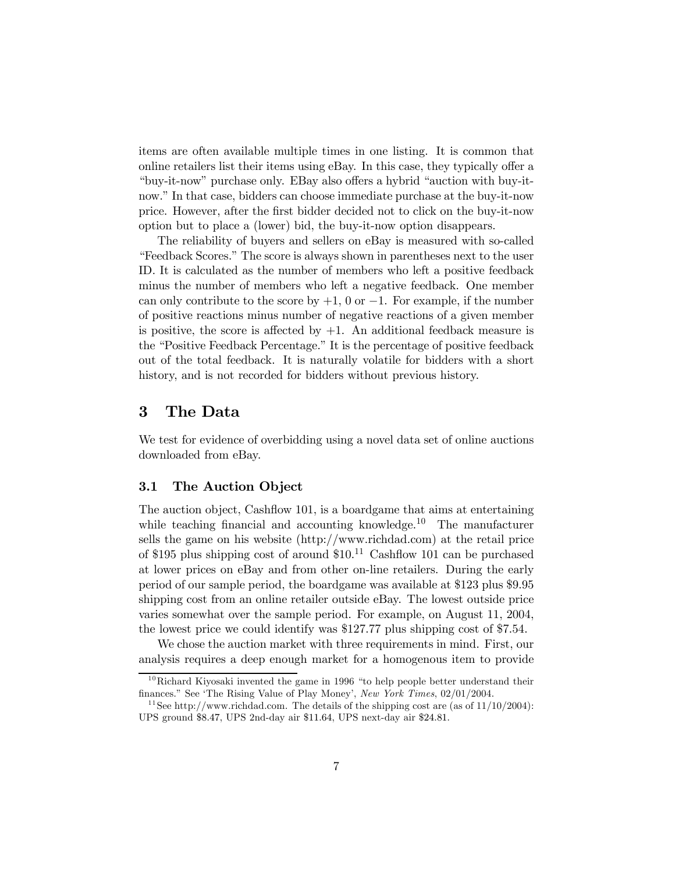items are often available multiple times in one listing. It is common that online retailers list their items using eBay. In this case, they typically offer a "buy-it-now" purchase only. EBay also offers a hybrid "auction with buy-itnow." In that case, bidders can choose immediate purchase at the buy-it-now price. However, after the first bidder decided not to click on the buy-it-now option but to place a (lower) bid, the buy-it-now option disappears.

The reliability of buyers and sellers on eBay is measured with so-called "Feedback Scores." The score is always shown in parentheses next to the user ID. It is calculated as the number of members who left a positive feedback minus the number of members who left a negative feedback. One member can only contribute to the score by  $+1$ , 0 or  $-1$ . For example, if the number of positive reactions minus number of negative reactions of a given member is positive, the score is affected by  $+1$ . An additional feedback measure is the "Positive Feedback Percentage." It is the percentage of positive feedback out of the total feedback. It is naturally volatile for bidders with a short history, and is not recorded for bidders without previous history.

## 3 The Data

We test for evidence of overbidding using a novel data set of online auctions downloaded from eBay.

#### 3.1 The Auction Object

The auction object, Cashflow 101, is a boardgame that aims at entertaining while teaching financial and accounting knowledge.<sup>10</sup> The manufacturer sells the game on his website (http://www.richdad.com) at the retail price of \$195 plus shipping cost of around \$10. <sup>11</sup> Cashflow 101 can be purchased at lower prices on eBay and from other on-line retailers. During the early period of our sample period, the boardgame was available at \$123 plus \$9.95 shipping cost from an online retailer outside eBay. The lowest outside price varies somewhat over the sample period. For example, on August 11, 2004, the lowest price we could identify was \$127.77 plus shipping cost of \$7.54.

We chose the auction market with three requirements in mind. First, our analysis requires a deep enough market for a homogenous item to provide

 $10$ Richard Kiyosaki invented the game in 1996 "to help people better understand their finances." See 'The Rising Value of Play Money', New York Times, 02/01/2004.

<sup>&</sup>lt;sup>11</sup> See http://www.richdad.com. The details of the shipping cost are (as of  $11/10/2004$ ): UPS ground \$8.47, UPS 2nd-day air \$11.64, UPS next-day air \$24.81.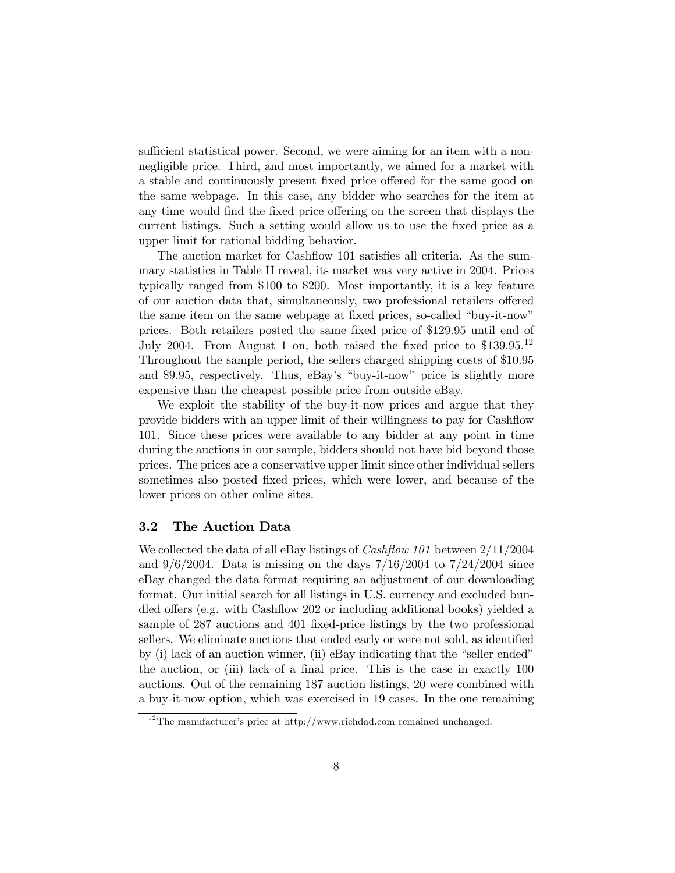sufficient statistical power. Second, we were aiming for an item with a nonnegligible price. Third, and most importantly, we aimed for a market with a stable and continuously present fixed price offered for the same good on the same webpage. In this case, any bidder who searches for the item at any time would find the fixed price offering on the screen that displays the current listings. Such a setting would allow us to use the fixed price as a upper limit for rational bidding behavior.

The auction market for Cashflow 101 satisfies all criteria. As the summary statistics in Table II reveal, its market was very active in 2004. Prices typically ranged from \$100 to \$200. Most importantly, it is a key feature of our auction data that, simultaneously, two professional retailers offered the same item on the same webpage at fixed prices, so-called "buy-it-now" prices. Both retailers posted the same fixed price of \$129.95 until end of July 2004. From August 1 on, both raised the fixed price to \$139.95.<sup>12</sup> Throughout the sample period, the sellers charged shipping costs of \$10.95 and \$9.95, respectively. Thus, eBay's "buy-it-now" price is slightly more expensive than the cheapest possible price from outside eBay.

We exploit the stability of the buy-it-now prices and argue that they provide bidders with an upper limit of their willingness to pay for Cashflow 101. Since these prices were available to any bidder at any point in time during the auctions in our sample, bidders should not have bid beyond those prices. The prices are a conservative upper limit since other individual sellers sometimes also posted fixed prices, which were lower, and because of the lower prices on other online sites.

#### 3.2 The Auction Data

We collected the data of all eBay listings of *Cashflow 101* between  $2/11/2004$ and  $9/6/2004$ . Data is missing on the days  $7/16/2004$  to  $7/24/2004$  since eBay changed the data format requiring an adjustment of our downloading format. Our initial search for all listings in U.S. currency and excluded bundled offers (e.g. with Cashflow 202 or including additional books) yielded a sample of 287 auctions and 401 fixed-price listings by the two professional sellers. We eliminate auctions that ended early or were not sold, as identified by (i) lack of an auction winner, (ii) eBay indicating that the "seller ended" the auction, or (iii) lack of a final price. This is the case in exactly 100 auctions. Out of the remaining 187 auction listings, 20 were combined with a buy-it-now option, which was exercised in 19 cases. In the one remaining

 $12$ The manufacturer's price at http://www.richdad.com remained unchanged.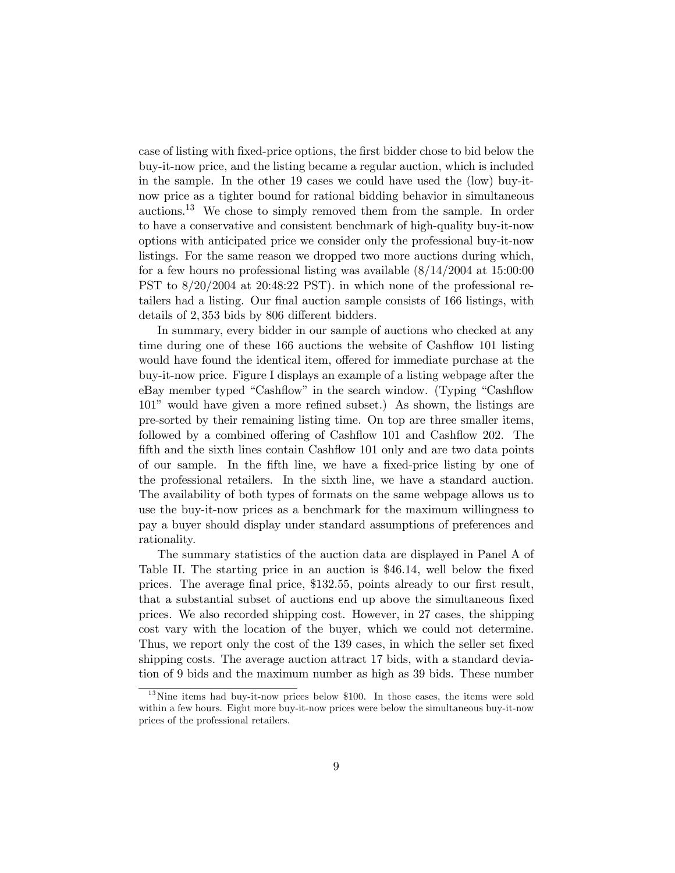case of listing with fixed-price options, the first bidder chose to bid below the buy-it-now price, and the listing became a regular auction, which is included in the sample. In the other 19 cases we could have used the (low) buy-itnow price as a tighter bound for rational bidding behavior in simultaneous auctions.<sup>13</sup> We chose to simply removed them from the sample. In order to have a conservative and consistent benchmark of high-quality buy-it-now options with anticipated price we consider only the professional buy-it-now listings. For the same reason we dropped two more auctions during which, for a few hours no professional listing was available (8/14/2004 at 15:00:00 PST to 8/20/2004 at 20:48:22 PST). in which none of the professional retailers had a listing. Our final auction sample consists of 166 listings, with details of 2, 353 bids by 806 different bidders.

In summary, every bidder in our sample of auctions who checked at any time during one of these 166 auctions the website of Cashflow 101 listing would have found the identical item, offered for immediate purchase at the buy-it-now price. Figure I displays an example of a listing webpage after the eBay member typed "Cashflow" in the search window. (Typing "Cashflow 101" would have given a more refined subset.) As shown, the listings are pre-sorted by their remaining listing time. On top are three smaller items, followed by a combined offering of Cashflow 101 and Cashflow 202. The fifth and the sixth lines contain Cashflow 101 only and are two data points of our sample. In the fifth line, we have a fixed-price listing by one of the professional retailers. In the sixth line, we have a standard auction. The availability of both types of formats on the same webpage allows us to use the buy-it-now prices as a benchmark for the maximum willingness to pay a buyer should display under standard assumptions of preferences and rationality.

The summary statistics of the auction data are displayed in Panel A of Table II. The starting price in an auction is \$46.14, well below the fixed prices. The average final price, \$132.55, points already to our first result, that a substantial subset of auctions end up above the simultaneous fixed prices. We also recorded shipping cost. However, in 27 cases, the shipping cost vary with the location of the buyer, which we could not determine. Thus, we report only the cost of the 139 cases, in which the seller set fixed shipping costs. The average auction attract 17 bids, with a standard deviation of 9 bids and the maximum number as high as 39 bids. These number

 $13$  Nine items had buy-it-now prices below \$100. In those cases, the items were sold within a few hours. Eight more buy-it-now prices were below the simultaneous buy-it-now prices of the professional retailers.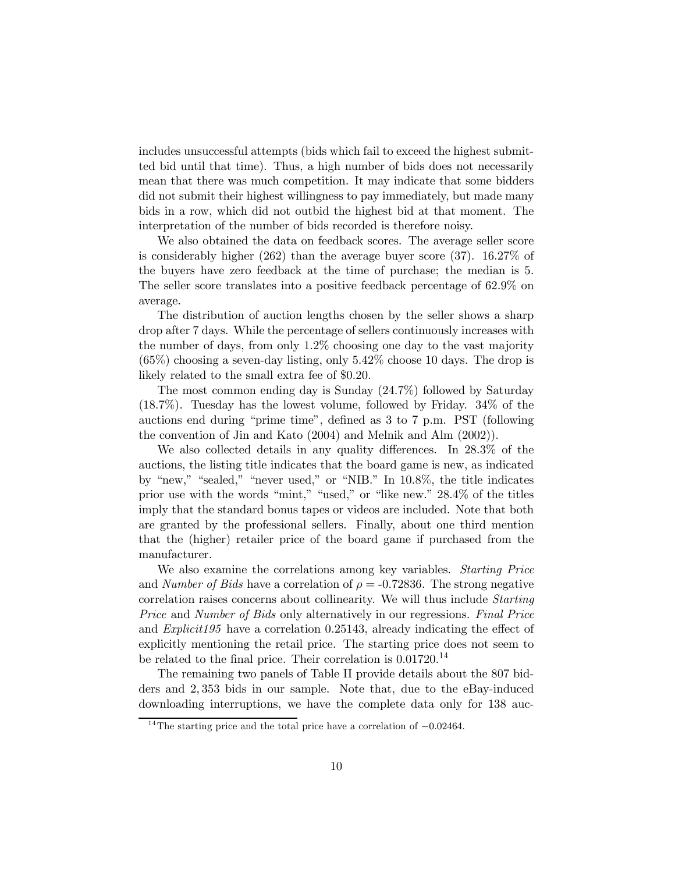includes unsuccessful attempts (bids which fail to exceed the highest submitted bid until that time). Thus, a high number of bids does not necessarily mean that there was much competition. It may indicate that some bidders did not submit their highest willingness to pay immediately, but made many bids in a row, which did not outbid the highest bid at that moment. The interpretation of the number of bids recorded is therefore noisy.

We also obtained the data on feedback scores. The average seller score is considerably higher (262) than the average buyer score (37). 16.27% of the buyers have zero feedback at the time of purchase; the median is 5. The seller score translates into a positive feedback percentage of 62.9% on average.

The distribution of auction lengths chosen by the seller shows a sharp drop after 7 days. While the percentage of sellers continuously increases with the number of days, from only 1.2% choosing one day to the vast majority (65%) choosing a seven-day listing, only 5.42% choose 10 days. The drop is likely related to the small extra fee of \$0.20.

The most common ending day is Sunday (24.7%) followed by Saturday (18.7%). Tuesday has the lowest volume, followed by Friday. 34% of the auctions end during "prime time", defined as 3 to 7 p.m. PST (following the convention of Jin and Kato (2004) and Melnik and Alm (2002)).

We also collected details in any quality differences. In 28.3% of the auctions, the listing title indicates that the board game is new, as indicated by "new," "sealed," "never used," or "NIB." In 10.8%, the title indicates prior use with the words "mint," "used," or "like new." 28.4% of the titles imply that the standard bonus tapes or videos are included. Note that both are granted by the professional sellers. Finally, about one third mention that the (higher) retailer price of the board game if purchased from the manufacturer.

We also examine the correlations among key variables. *Starting Price* and Number of Bids have a correlation of  $\rho = -0.72836$ . The strong negative correlation raises concerns about collinearity. We will thus include Starting Price and Number of Bids only alternatively in our regressions. Final Price and Explicit195 have a correlation 0.25143, already indicating the effect of explicitly mentioning the retail price. The starting price does not seem to be related to the final price. Their correlation is  $0.01720$ <sup>14</sup>

The remaining two panels of Table II provide details about the 807 bidders and 2, 353 bids in our sample. Note that, due to the eBay-induced downloading interruptions, we have the complete data only for 138 auc-

<sup>&</sup>lt;sup>14</sup>The starting price and the total price have a correlation of  $-0.02464$ .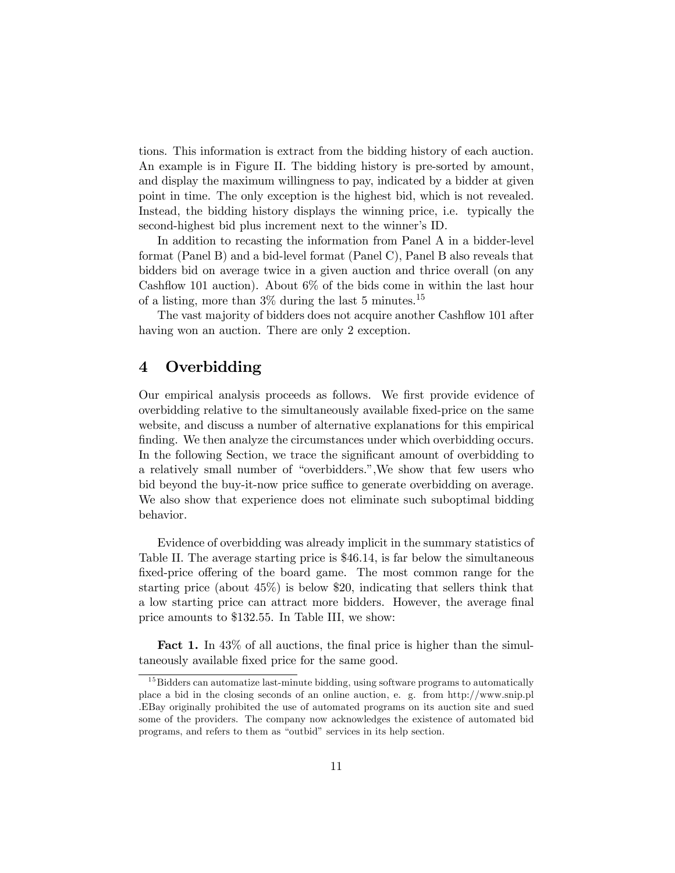tions. This information is extract from the bidding history of each auction. An example is in Figure II. The bidding history is pre-sorted by amount, and display the maximum willingness to pay, indicated by a bidder at given point in time. The only exception is the highest bid, which is not revealed. Instead, the bidding history displays the winning price, i.e. typically the second-highest bid plus increment next to the winner's ID.

In addition to recasting the information from Panel A in a bidder-level format (Panel B) and a bid-level format (Panel C), Panel B also reveals that bidders bid on average twice in a given auction and thrice overall (on any Cashflow 101 auction). About 6% of the bids come in within the last hour of a listing, more than  $3\%$  during the last 5 minutes.<sup>15</sup>

The vast majority of bidders does not acquire another Cashflow 101 after having won an auction. There are only 2 exception.

## 4 Overbidding

Our empirical analysis proceeds as follows. We first provide evidence of overbidding relative to the simultaneously available fixed-price on the same website, and discuss a number of alternative explanations for this empirical finding. We then analyze the circumstances under which overbidding occurs. In the following Section, we trace the significant amount of overbidding to a relatively small number of "overbidders.",We show that few users who bid beyond the buy-it-now price suffice to generate overbidding on average. We also show that experience does not eliminate such suboptimal bidding behavior.

Evidence of overbidding was already implicit in the summary statistics of Table II. The average starting price is \$46.14, is far below the simultaneous fixed-price offering of the board game. The most common range for the starting price (about 45%) is below \$20, indicating that sellers think that a low starting price can attract more bidders. However, the average final price amounts to \$132.55. In Table III, we show:

Fact 1. In  $43\%$  of all auctions, the final price is higher than the simultaneously available fixed price for the same good.

 $15$  Bidders can automatize last-minute bidding, using software programs to automatically place a bid in the closing seconds of an online auction, e. g. from http://www.snip.pl .EBay originally prohibited the use of automated programs on its auction site and sued some of the providers. The company now acknowledges the existence of automated bid programs, and refers to them as "outbid" services in its help section.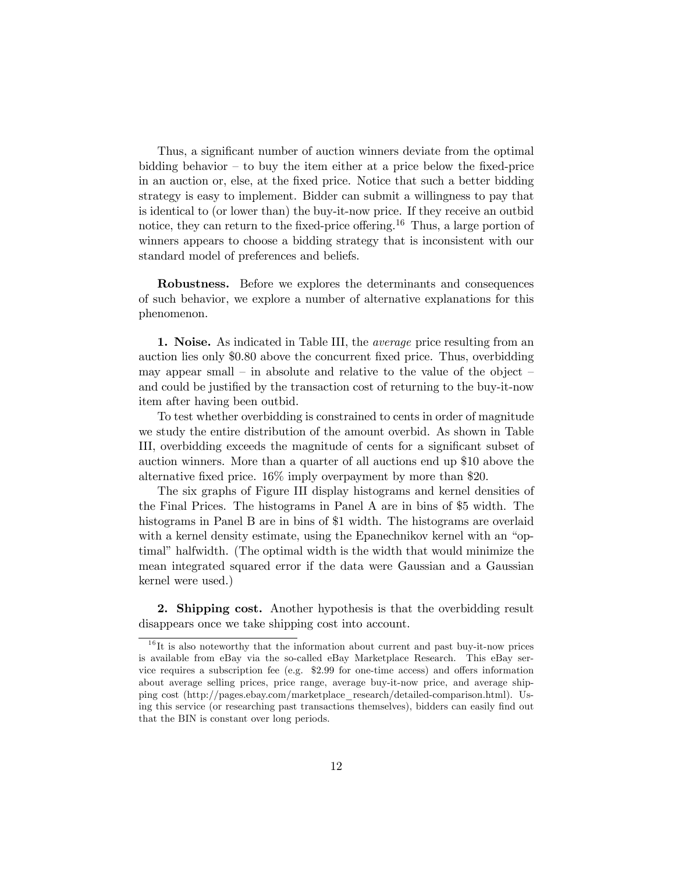Thus, a significant number of auction winners deviate from the optimal bidding behavior — to buy the item either at a price below the fixed-price in an auction or, else, at the fixed price. Notice that such a better bidding strategy is easy to implement. Bidder can submit a willingness to pay that is identical to (or lower than) the buy-it-now price. If they receive an outbid notice, they can return to the fixed-price offering.<sup>16</sup> Thus, a large portion of winners appears to choose a bidding strategy that is inconsistent with our standard model of preferences and beliefs.

Robustness. Before we explores the determinants and consequences of such behavior, we explore a number of alternative explanations for this phenomenon.

1. Noise. As indicated in Table III, the *average* price resulting from an auction lies only \$0.80 above the concurrent fixed price. Thus, overbidding may appear small  $-$  in absolute and relative to the value of the object and could be justified by the transaction cost of returning to the buy-it-now item after having been outbid.

To test whether overbidding is constrained to cents in order of magnitude we study the entire distribution of the amount overbid. As shown in Table III, overbidding exceeds the magnitude of cents for a significant subset of auction winners. More than a quarter of all auctions end up \$10 above the alternative fixed price. 16% imply overpayment by more than \$20.

The six graphs of Figure III display histograms and kernel densities of the Final Prices. The histograms in Panel A are in bins of \$5 width. The histograms in Panel B are in bins of \$1 width. The histograms are overlaid with a kernel density estimate, using the Epanechnikov kernel with an "optimal" halfwidth. (The optimal width is the width that would minimize the mean integrated squared error if the data were Gaussian and a Gaussian kernel were used.)

2. Shipping cost. Another hypothesis is that the overbidding result disappears once we take shipping cost into account.

 $16$ It is also noteworthy that the information about current and past buy-it-now prices is available from eBay via the so-called eBay Marketplace Research. This eBay service requires a subscription fee (e.g. \$2.99 for one-time access) and offers information about average selling prices, price range, average buy-it-now price, and average shipping cost (http://pages.ebay.com/marketplace\_research/detailed-comparison.html). Using this service (or researching past transactions themselves), bidders can easily find out that the BIN is constant over long periods.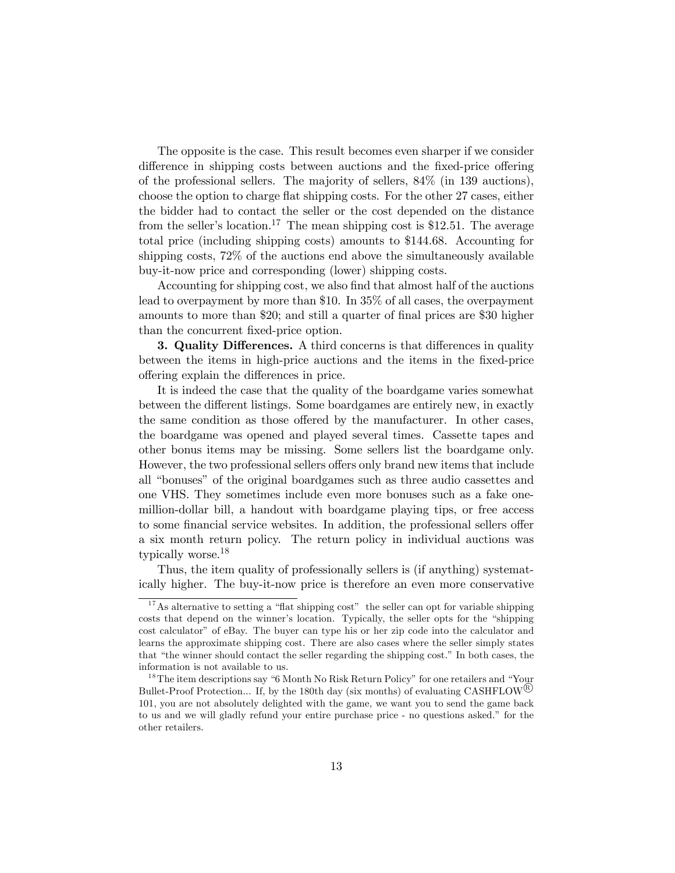The opposite is the case. This result becomes even sharper if we consider difference in shipping costs between auctions and the fixed-price offering of the professional sellers. The majority of sellers, 84% (in 139 auctions), choose the option to charge flat shipping costs. For the other 27 cases, either the bidder had to contact the seller or the cost depended on the distance from the seller's location.<sup>17</sup> The mean shipping cost is \$12.51. The average total price (including shipping costs) amounts to \$144.68. Accounting for shipping costs, 72% of the auctions end above the simultaneously available buy-it-now price and corresponding (lower) shipping costs.

Accounting for shipping cost, we also find that almost half of the auctions lead to overpayment by more than \$10. In 35% of all cases, the overpayment amounts to more than \$20; and still a quarter of final prices are \$30 higher than the concurrent fixed-price option.

3. Quality Differences. A third concerns is that differences in quality between the items in high-price auctions and the items in the fixed-price offering explain the differences in price.

It is indeed the case that the quality of the boardgame varies somewhat between the different listings. Some boardgames are entirely new, in exactly the same condition as those offered by the manufacturer. In other cases, the boardgame was opened and played several times. Cassette tapes and other bonus items may be missing. Some sellers list the boardgame only. However, the two professional sellers offers only brand new items that include all "bonuses" of the original boardgames such as three audio cassettes and one VHS. They sometimes include even more bonuses such as a fake onemillion-dollar bill, a handout with boardgame playing tips, or free access to some financial service websites. In addition, the professional sellers offer a six month return policy. The return policy in individual auctions was typically worse.<sup>18</sup>

Thus, the item quality of professionally sellers is (if anything) systematically higher. The buy-it-now price is therefore an even more conservative

 $17$ As alternative to setting a "flat shipping cost" the seller can opt for variable shipping costs that depend on the winner's location. Typically, the seller opts for the "shipping cost calculator" of eBay. The buyer can type his or her zip code into the calculator and learns the approximate shipping cost. There are also cases where the seller simply states that "the winner should contact the seller regarding the shipping cost." In both cases, the information is not available to us.

 $18$ The item descriptions say "6 Month No Risk Return Policy" for one retailers and "Your Bullet-Proof Protection... If, by the 180th day (six months) of evaluating CASHFLOW<sup> $\&$ </sup> 101, you are not absolutely delighted with the game, we want you to send the game back to us and we will gladly refund your entire purchase price - no questions asked." for the other retailers.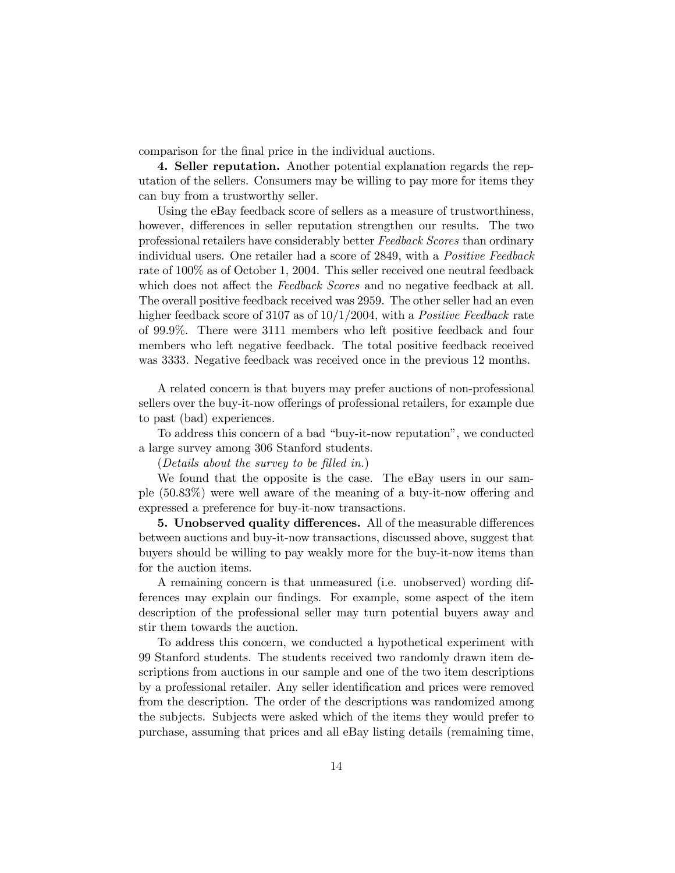comparison for the final price in the individual auctions.

4. Seller reputation. Another potential explanation regards the reputation of the sellers. Consumers may be willing to pay more for items they can buy from a trustworthy seller.

Using the eBay feedback score of sellers as a measure of trustworthiness, however, differences in seller reputation strengthen our results. The two professional retailers have considerably better Feedback Scores than ordinary individual users. One retailer had a score of 2849, with a Positive Feedback rate of 100% as of October 1, 2004. This seller received one neutral feedback which does not affect the Feedback Scores and no negative feedback at all. The overall positive feedback received was 2959. The other seller had an even higher feedback score of 3107 as of  $10/1/2004$ , with a *Positive Feedback* rate of 99.9%. There were 3111 members who left positive feedback and four members who left negative feedback. The total positive feedback received was 3333. Negative feedback was received once in the previous 12 months.

A related concern is that buyers may prefer auctions of non-professional sellers over the buy-it-now offerings of professional retailers, for example due to past (bad) experiences.

To address this concern of a bad "buy-it-now reputation", we conducted a large survey among 306 Stanford students.

(Details about the survey to be filled in.)

We found that the opposite is the case. The eBay users in our sample (50.83%) were well aware of the meaning of a buy-it-now offering and expressed a preference for buy-it-now transactions.

5. Unobserved quality differences. All of the measurable differences between auctions and buy-it-now transactions, discussed above, suggest that buyers should be willing to pay weakly more for the buy-it-now items than for the auction items.

A remaining concern is that unmeasured (i.e. unobserved) wording differences may explain our findings. For example, some aspect of the item description of the professional seller may turn potential buyers away and stir them towards the auction.

To address this concern, we conducted a hypothetical experiment with 99 Stanford students. The students received two randomly drawn item descriptions from auctions in our sample and one of the two item descriptions by a professional retailer. Any seller identification and prices were removed from the description. The order of the descriptions was randomized among the subjects. Subjects were asked which of the items they would prefer to purchase, assuming that prices and all eBay listing details (remaining time,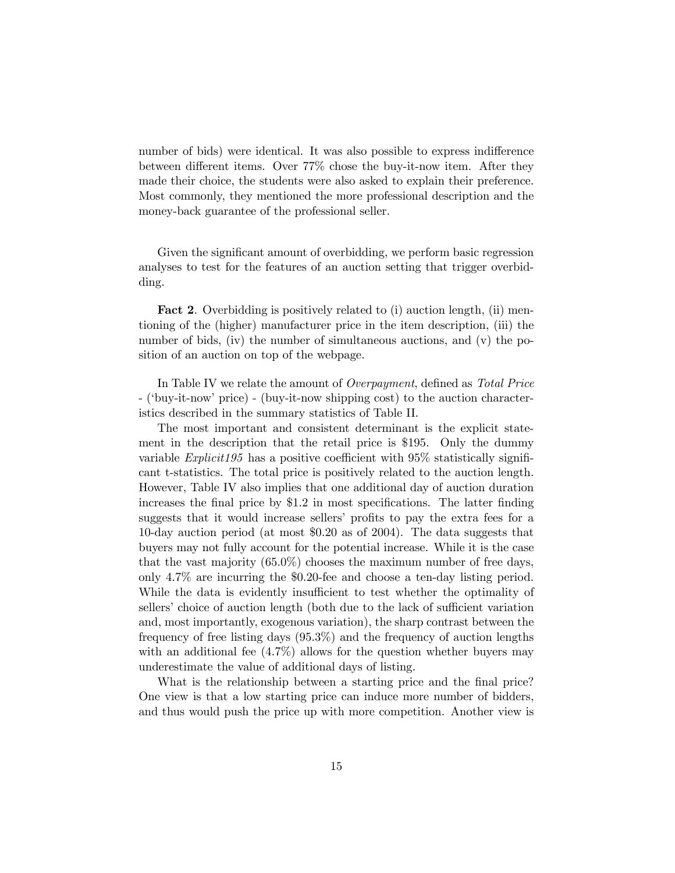number of bids) were identical. It was also possible to express indifference between different items. Over 77% chose the buy-it-now item. After they made their choice, the students were also asked to explain their preference. Most commonly, they mentioned the more professional description and the money-back guarantee of the professional seller.

Given the significant amount of overbidding, we perform basic regression analyses to test for the features of an auction setting that trigger overbidding.

Fact 2. Overbidding is positively related to (i) auction length, (ii) mentioning of the (higher) manufacturer price in the item description, (iii) the number of bids, (iv) the number of simultaneous auctions, and (v) the position of an auction on top of the webpage.

In Table IV we relate the amount of *Overpayment*, defined as *Total Price* - ('buy-it-now' price) - (buy-it-now shipping cost) to the auction characteristics described in the summary statistics of Table II.

The most important and consistent determinant is the explicit statement in the description that the retail price is \$195. Only the dummy variable *Explicit195* has a positive coefficient with  $95\%$  statistically significant t-statistics. The total price is positively related to the auction length. However, Table IV also implies that one additional day of auction duration increases the final price by \$1.2 in most specifications. The latter finding suggests that it would increase sellers' profits to pay the extra fees for a 10-day auction period (at most \$0.20 as of 2004). The data suggests that buyers may not fully account for the potential increase. While it is the case that the vast majority (65.0%) chooses the maximum number of free days, only 4.7% are incurring the \$0.20-fee and choose a ten-day listing period. While the data is evidently insufficient to test whether the optimality of sellers' choice of auction length (both due to the lack of sufficient variation and, most importantly, exogenous variation), the sharp contrast between the frequency of free listing days (95.3%) and the frequency of auction lengths with an additional fee  $(4.7\%)$  allows for the question whether buyers may underestimate the value of additional days of listing.

What is the relationship between a starting price and the final price? One view is that a low starting price can induce more number of bidders, and thus would push the price up with more competition. Another view is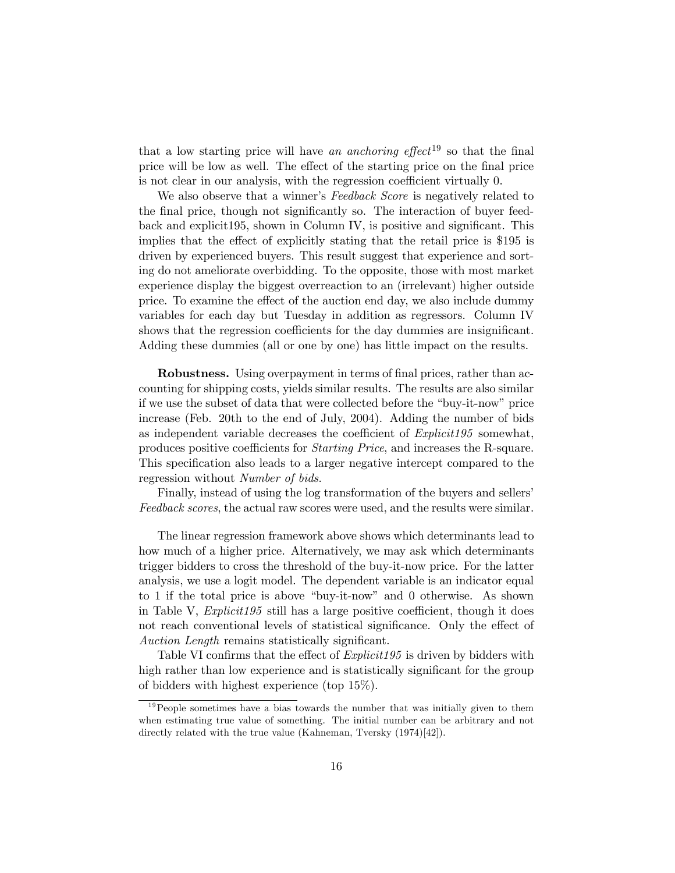that a low starting price will have an anchoring effect<sup>19</sup> so that the final price will be low as well. The effect of the starting price on the final price is not clear in our analysis, with the regression coefficient virtually 0.

We also observe that a winner's Feedback Score is negatively related to the final price, though not significantly so. The interaction of buyer feedback and explicit195, shown in Column IV, is positive and significant. This implies that the effect of explicitly stating that the retail price is \$195 is driven by experienced buyers. This result suggest that experience and sorting do not ameliorate overbidding. To the opposite, those with most market experience display the biggest overreaction to an (irrelevant) higher outside price. To examine the effect of the auction end day, we also include dummy variables for each day but Tuesday in addition as regressors. Column IV shows that the regression coefficients for the day dummies are insignificant. Adding these dummies (all or one by one) has little impact on the results.

Robustness. Using overpayment in terms of final prices, rather than accounting for shipping costs, yields similar results. The results are also similar if we use the subset of data that were collected before the "buy-it-now" price increase (Feb. 20th to the end of July, 2004). Adding the number of bids as independent variable decreases the coefficient of Explicit195 somewhat, produces positive coefficients for Starting Price, and increases the R-square. This specification also leads to a larger negative intercept compared to the regression without Number of bids.

Finally, instead of using the log transformation of the buyers and sellers' Feedback scores, the actual raw scores were used, and the results were similar.

The linear regression framework above shows which determinants lead to how much of a higher price. Alternatively, we may ask which determinants trigger bidders to cross the threshold of the buy-it-now price. For the latter analysis, we use a logit model. The dependent variable is an indicator equal to 1 if the total price is above "buy-it-now" and 0 otherwise. As shown in Table V,  $Explicit195$  still has a large positive coefficient, though it does not reach conventional levels of statistical significance. Only the effect of Auction Length remains statistically significant.

Table VI confirms that the effect of *Explicit195* is driven by bidders with high rather than low experience and is statistically significant for the group of bidders with highest experience (top 15%).

 $19$ People sometimes have a bias towards the number that was initially given to them when estimating true value of something. The initial number can be arbitrary and not directly related with the true value (Kahneman, Tversky  $(1974)[42]$ ).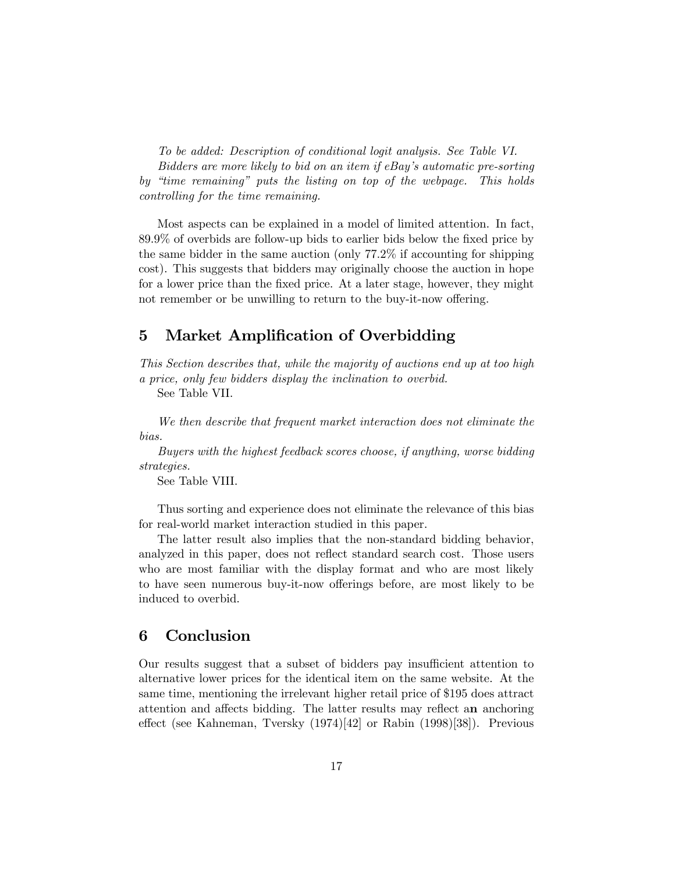To be added: Description of conditional logit analysis. See Table VI. Bidders are more likely to bid on an item if eBay's automatic pre-sorting by "time remaining" puts the listing on top of the webpage. This holds controlling for the time remaining.

Most aspects can be explained in a model of limited attention. In fact, 89.9% of overbids are follow-up bids to earlier bids below the fixed price by the same bidder in the same auction (only 77.2% if accounting for shipping cost). This suggests that bidders may originally choose the auction in hope for a lower price than the fixed price. At a later stage, however, they might not remember or be unwilling to return to the buy-it-now offering.

# 5 Market Amplification of Overbidding

This Section describes that, while the majority of auctions end up at too high a price, only few bidders display the inclination to overbid.

See Table VII.

We then describe that frequent market interaction does not eliminate the bias.

Buyers with the highest feedback scores choose, if anything, worse bidding strategies.

See Table VIII.

Thus sorting and experience does not eliminate the relevance of this bias for real-world market interaction studied in this paper.

The latter result also implies that the non-standard bidding behavior, analyzed in this paper, does not reflect standard search cost. Those users who are most familiar with the display format and who are most likely to have seen numerous buy-it-now offerings before, are most likely to be induced to overbid.

## 6 Conclusion

Our results suggest that a subset of bidders pay insufficient attention to alternative lower prices for the identical item on the same website. At the same time, mentioning the irrelevant higher retail price of \$195 does attract attention and affects bidding. The latter results may reflect an anchoring effect (see Kahneman, Tversky (1974)[42] or Rabin (1998)[38]). Previous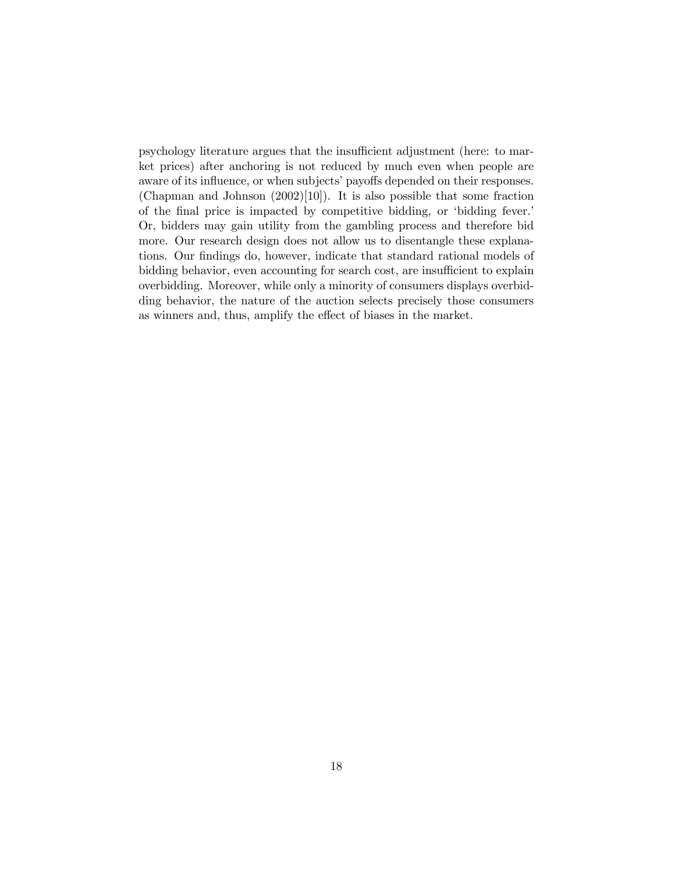psychology literature argues that the insufficient adjustment (here: to market prices) after anchoring is not reduced by much even when people are aware of its influence, or when subjects' payoffs depended on their responses. (Chapman and Johnson  $(2002)[10]$ ). It is also possible that some fraction of the final price is impacted by competitive bidding, or 'bidding fever.' Or, bidders may gain utility from the gambling process and therefore bid more. Our research design does not allow us to disentangle these explanations. Our findings do, however, indicate that standard rational models of bidding behavior, even accounting for search cost, are insufficient to explain overbidding. Moreover, while only a minority of consumers displays overbidding behavior, the nature of the auction selects precisely those consumers as winners and, thus, amplify the effect of biases in the market.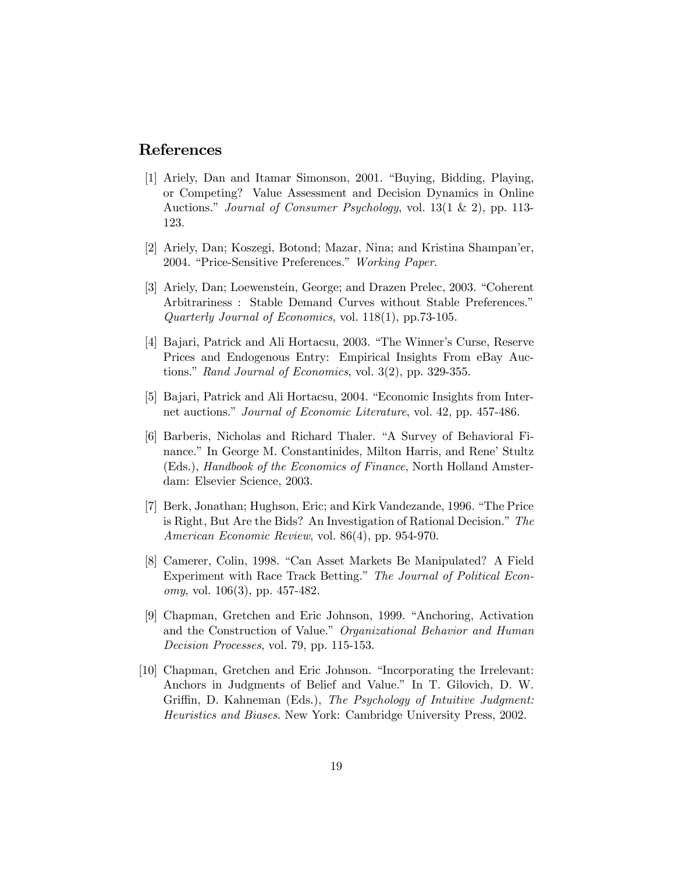## References

- [1] Ariely, Dan and Itamar Simonson, 2001. "Buying, Bidding, Playing, or Competing? Value Assessment and Decision Dynamics in Online Auctions." Journal of Consumer Psychology, vol. 13(1 & 2), pp. 113- 123.
- [2] Ariely, Dan; Koszegi, Botond; Mazar, Nina; and Kristina Shampan'er, 2004. "Price-Sensitive Preferences." Working Paper.
- [3] Ariely, Dan; Loewenstein, George; and Drazen Prelec, 2003. "Coherent Arbitrariness : Stable Demand Curves without Stable Preferences." Quarterly Journal of Economics, vol. 118(1), pp.73-105.
- [4] Bajari, Patrick and Ali Hortacsu, 2003. "The Winner's Curse, Reserve Prices and Endogenous Entry: Empirical Insights From eBay Auctions." Rand Journal of Economics, vol. 3(2), pp. 329-355.
- [5] Bajari, Patrick and Ali Hortacsu, 2004. "Economic Insights from Internet auctions." Journal of Economic Literature, vol. 42, pp. 457-486.
- [6] Barberis, Nicholas and Richard Thaler. "A Survey of Behavioral Finance." In George M. Constantinides, Milton Harris, and Rene' Stultz (Eds.), Handbook of the Economics of Finance, North Holland Amsterdam: Elsevier Science, 2003.
- [7] Berk, Jonathan; Hughson, Eric; and Kirk Vandezande, 1996. "The Price is Right, But Are the Bids? An Investigation of Rational Decision." The American Economic Review, vol. 86(4), pp. 954-970.
- [8] Camerer, Colin, 1998. "Can Asset Markets Be Manipulated? A Field Experiment with Race Track Betting." The Journal of Political Economy, vol. 106(3), pp. 457-482.
- [9] Chapman, Gretchen and Eric Johnson, 1999. "Anchoring, Activation and the Construction of Value." Organizational Behavior and Human Decision Processes, vol. 79, pp. 115-153.
- [10] Chapman, Gretchen and Eric Johnson. "Incorporating the Irrelevant: Anchors in Judgments of Belief and Value." In T. Gilovich, D. W. Griffin, D. Kahneman (Eds.), The Psychology of Intuitive Judgment: Heuristics and Biases. New York: Cambridge University Press, 2002.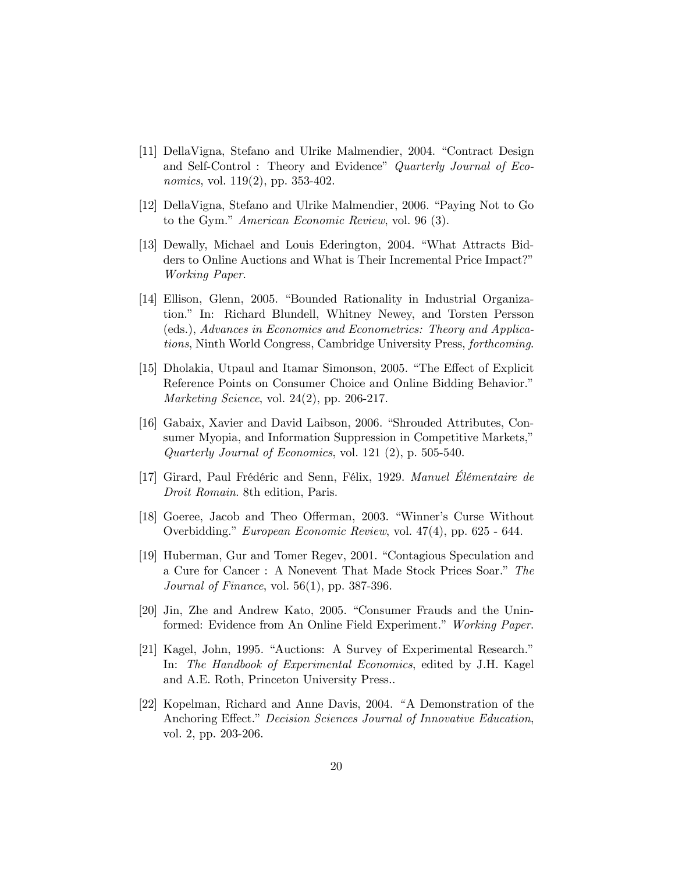- [11] DellaVigna, Stefano and Ulrike Malmendier, 2004. "Contract Design and Self-Control : Theory and Evidence" Quarterly Journal of Economics, vol. 119(2), pp. 353-402.
- [12] DellaVigna, Stefano and Ulrike Malmendier, 2006. "Paying Not to Go to the Gym." American Economic Review, vol. 96 (3).
- [13] Dewally, Michael and Louis Ederington, 2004. "What Attracts Bidders to Online Auctions and What is Their Incremental Price Impact?" Working Paper.
- [14] Ellison, Glenn, 2005. "Bounded Rationality in Industrial Organization." In: Richard Blundell, Whitney Newey, and Torsten Persson (eds.), Advances in Economics and Econometrics: Theory and Applications, Ninth World Congress, Cambridge University Press, forthcoming.
- [15] Dholakia, Utpaul and Itamar Simonson, 2005. "The Effect of Explicit Reference Points on Consumer Choice and Online Bidding Behavior." Marketing Science, vol. 24(2), pp. 206-217.
- [16] Gabaix, Xavier and David Laibson, 2006. "Shrouded Attributes, Consumer Myopia, and Information Suppression in Competitive Markets," Quarterly Journal of Economics, vol. 121 (2), p. 505-540.
- [17] Girard, Paul Frédéric and Senn, Félix, 1929. Manuel Élémentaire de Droit Romain. 8th edition, Paris.
- [18] Goeree, Jacob and Theo Offerman, 2003. "Winner's Curse Without Overbidding." European Economic Review, vol. 47(4), pp. 625 - 644.
- [19] Huberman, Gur and Tomer Regev, 2001. "Contagious Speculation and a Cure for Cancer : A Nonevent That Made Stock Prices Soar." The Journal of Finance, vol. 56(1), pp. 387-396.
- [20] Jin, Zhe and Andrew Kato, 2005. "Consumer Frauds and the Uninformed: Evidence from An Online Field Experiment." Working Paper.
- [21] Kagel, John, 1995. "Auctions: A Survey of Experimental Research." In: The Handbook of Experimental Economics, edited by J.H. Kagel and A.E. Roth, Princeton University Press..
- [22] Kopelman, Richard and Anne Davis, 2004. " A Demonstration of the Anchoring Effect." Decision Sciences Journal of Innovative Education, vol. 2, pp. 203-206.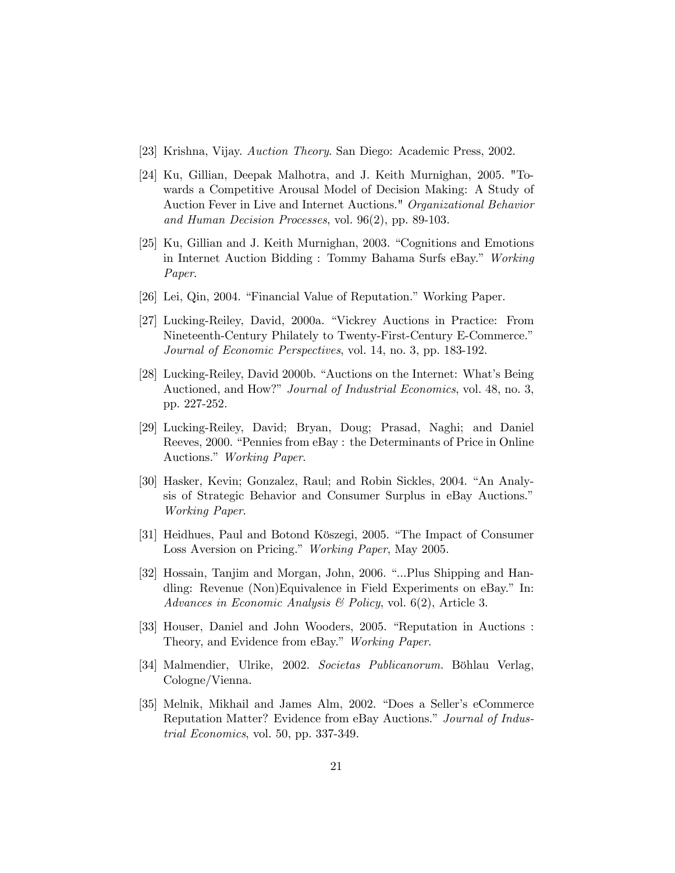- [23] Krishna, Vijay. Auction Theory. San Diego: Academic Press, 2002.
- [24] Ku, Gillian, Deepak Malhotra, and J. Keith Murnighan, 2005. "Towards a Competitive Arousal Model of Decision Making: A Study of Auction Fever in Live and Internet Auctions." Organizational Behavior and Human Decision Processes, vol. 96(2), pp. 89-103.
- [25] Ku, Gillian and J. Keith Murnighan, 2003. "Cognitions and Emotions in Internet Auction Bidding : Tommy Bahama Surfs eBay." Working Paper.
- [26] Lei, Qin, 2004. "Financial Value of Reputation." Working Paper.
- [27] Lucking-Reiley, David, 2000a. "Vickrey Auctions in Practice: From Nineteenth-Century Philately to Twenty-First-Century E-Commerce." Journal of Economic Perspectives, vol. 14, no. 3, pp. 183-192.
- [28] Lucking-Reiley, David 2000b. "Auctions on the Internet: What's Being Auctioned, and How?" Journal of Industrial Economics, vol. 48, no. 3, pp. 227-252.
- [29] Lucking-Reiley, David; Bryan, Doug; Prasad, Naghi; and Daniel Reeves, 2000. "Pennies from eBay : the Determinants of Price in Online Auctions." Working Paper.
- [30] Hasker, Kevin; Gonzalez, Raul; and Robin Sickles, 2004. "An Analysis of Strategic Behavior and Consumer Surplus in eBay Auctions." Working Paper.
- [31] Heidhues, Paul and Botond Köszegi, 2005. "The Impact of Consumer Loss Aversion on Pricing." Working Paper, May 2005.
- [32] Hossain, Tanjim and Morgan, John, 2006. "...Plus Shipping and Handling: Revenue (Non)Equivalence in Field Experiments on eBay." In: Advances in Economic Analysis & Policy, vol. 6(2), Article 3.
- [33] Houser, Daniel and John Wooders, 2005. "Reputation in Auctions : Theory, and Evidence from eBay." Working Paper.
- [34] Malmendier, Ulrike, 2002. Societas Publicanorum. Böhlau Verlag, Cologne/Vienna.
- [35] Melnik, Mikhail and James Alm, 2002. "Does a Seller's eCommerce Reputation Matter? Evidence from eBay Auctions." Journal of Industrial Economics, vol. 50, pp. 337-349.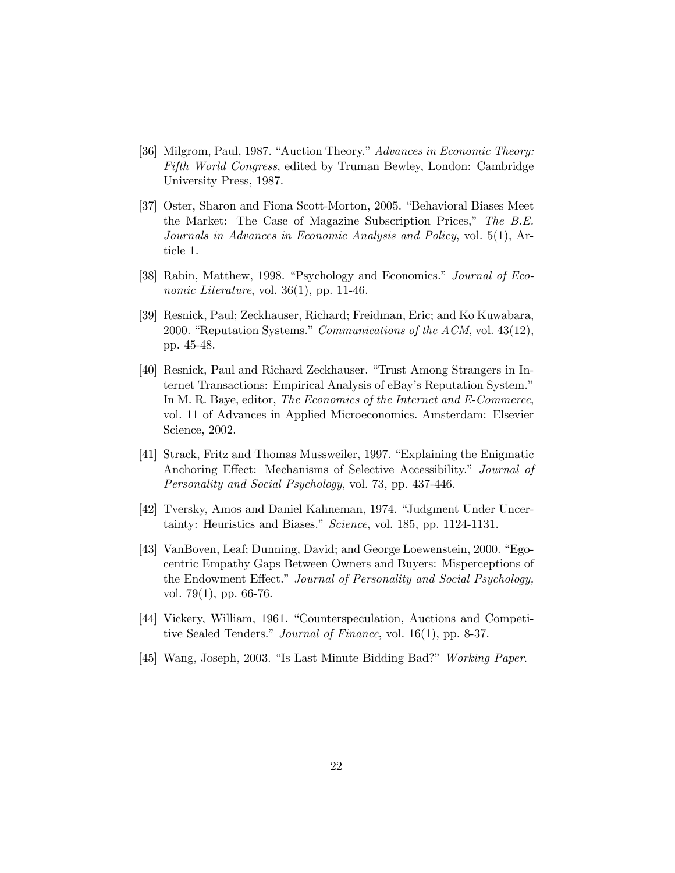- [36] Milgrom, Paul, 1987. "Auction Theory." Advances in Economic Theory: Fifth World Congress, edited by Truman Bewley, London: Cambridge University Press, 1987.
- [37] Oster, Sharon and Fiona Scott-Morton, 2005. "Behavioral Biases Meet the Market: The Case of Magazine Subscription Prices," The B.E. Journals in Advances in Economic Analysis and Policy, vol. 5(1), Article 1.
- [38] Rabin, Matthew, 1998. "Psychology and Economics." Journal of Economic Literature, vol. 36(1), pp. 11-46.
- [39] Resnick, Paul; Zeckhauser, Richard; Freidman, Eric; and Ko Kuwabara, 2000. "Reputation Systems." Communications of the ACM, vol. 43(12), pp. 45-48.
- [40] Resnick, Paul and Richard Zeckhauser. "Trust Among Strangers in Internet Transactions: Empirical Analysis of eBay's Reputation System." In M. R. Baye, editor, The Economics of the Internet and E-Commerce, vol. 11 of Advances in Applied Microeconomics. Amsterdam: Elsevier Science, 2002.
- [41] Strack, Fritz and Thomas Mussweiler, 1997. "Explaining the Enigmatic Anchoring Effect: Mechanisms of Selective Accessibility." Journal of Personality and Social Psychology, vol. 73, pp. 437-446.
- [42] Tversky, Amos and Daniel Kahneman, 1974. "Judgment Under Uncertainty: Heuristics and Biases." Science, vol. 185, pp. 1124-1131.
- [43] VanBoven, Leaf; Dunning, David; and George Loewenstein, 2000. "Egocentric Empathy Gaps Between Owners and Buyers: Misperceptions of the Endowment Effect." Journal of Personality and Social Psychology, vol. 79(1), pp. 66-76.
- [44] Vickery, William, 1961. "Counterspeculation, Auctions and Competitive Sealed Tenders." Journal of Finance, vol. 16(1), pp. 8-37.
- [45] Wang, Joseph, 2003. "Is Last Minute Bidding Bad?" Working Paper.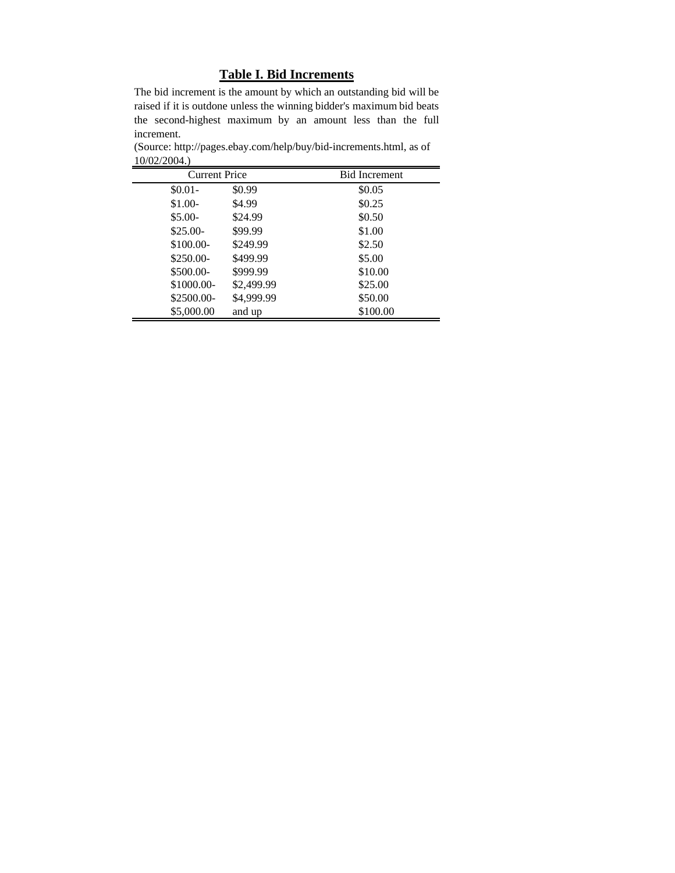# **Table I. Bid Increments**

The bid increment is the amount by which an outstanding bid will be raised if it is outdone unless the winning bidder's maximum bid beats the second-highest maximum by an amount less than the full increment.

(Source: http://pages.ebay.com/help/buy/bid-increments.html, as of 10/02/2004.)

| Current Price |            | <b>Bid Increment</b> |
|---------------|------------|----------------------|
| $$0.01-$      | \$0.99     | \$0.05               |
| $$1.00-$      | \$4.99     | \$0.25               |
| $$5.00-$      | \$24.99    | \$0.50               |
| $$25.00-$     | \$99.99    | \$1.00               |
| \$100.00-     | \$249.99   | \$2.50               |
| \$250.00-     | \$499.99   | \$5.00               |
| \$500.00-     | \$999.99   | \$10.00              |
| \$1000.00-    | \$2,499.99 | \$25.00              |
| \$2500.00-    | \$4,999.99 | \$50.00              |
| \$5,000.00    | and up     | \$100.00             |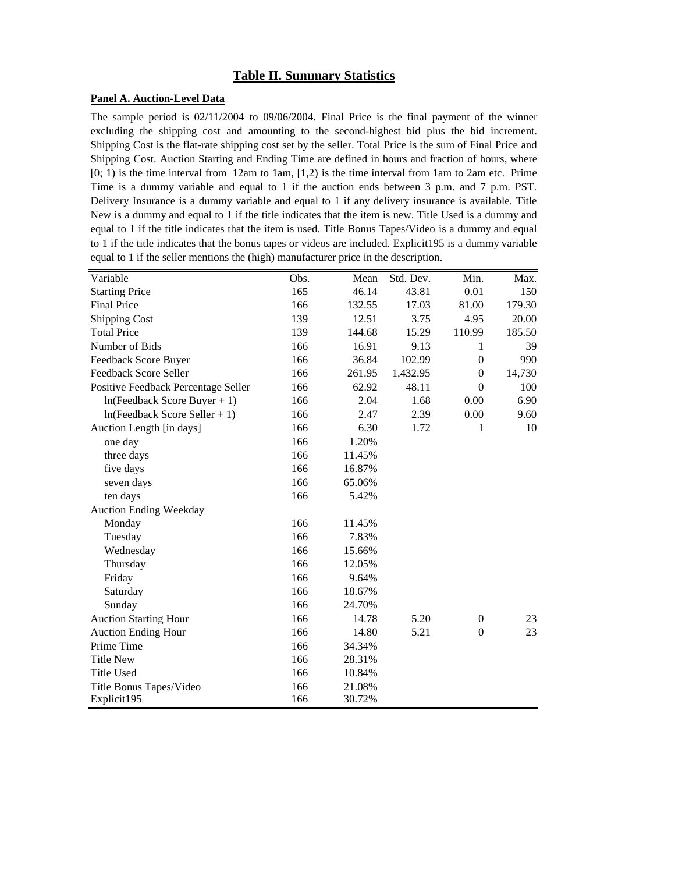## **Table II. Summary Statistics**

#### **Panel A. Auction-Level Data**

The sample period is 02/11/2004 to 09/06/2004. Final Price is the final payment of the winner excluding the shipping cost and amounting to the second-highest bid plus the bid increment. Shipping Cost is the flat-rate shipping cost set by the seller. Total Price is the sum of Final Price and Shipping Cost. Auction Starting and Ending Time are defined in hours and fraction of hours, where [0; 1) is the time interval from 12am to 1am, [1,2) is the time interval from 1am to 2am etc. Prime Time is a dummy variable and equal to 1 if the auction ends between 3 p.m. and 7 p.m. PST. Delivery Insurance is a dummy variable and equal to 1 if any delivery insurance is available. Title New is a dummy and equal to 1 if the title indicates that the item is new. Title Used is a dummy and equal to 1 if the title indicates that the item is used. Title Bonus Tapes/Video is a dummy and equal to 1 if the title indicates that the bonus tapes or videos are included. Explicit195 is a dummy variable equal to 1 if the seller mentions the (high) manufacturer price in the description.

| Variable                            | Obs. | Mean   | Std. Dev. | Min.             | Max.   |
|-------------------------------------|------|--------|-----------|------------------|--------|
| <b>Starting Price</b>               | 165  | 46.14  | 43.81     | 0.01             | 150    |
| <b>Final Price</b>                  | 166  | 132.55 | 17.03     | 81.00            | 179.30 |
| <b>Shipping Cost</b>                | 139  | 12.51  | 3.75      | 4.95             | 20.00  |
| <b>Total Price</b>                  | 139  | 144.68 | 15.29     | 110.99           | 185.50 |
| Number of Bids                      | 166  | 16.91  | 9.13      | 1                | 39     |
| Feedback Score Buyer                | 166  | 36.84  | 102.99    | $\boldsymbol{0}$ | 990    |
| Feedback Score Seller               | 166  | 261.95 | 1,432.95  | $\mathbf{0}$     | 14,730 |
| Positive Feedback Percentage Seller | 166  | 62.92  | 48.11     | $\theta$         | 100    |
| $ln(Feedback Score Buyer + 1)$      | 166  | 2.04   | 1.68      | 0.00             | 6.90   |
| $ln(Feedback Score Seller + 1)$     | 166  | 2.47   | 2.39      | 0.00             | 9.60   |
| Auction Length [in days]            | 166  | 6.30   | 1.72      | 1                | 10     |
| one day                             | 166  | 1.20%  |           |                  |        |
| three days                          | 166  | 11.45% |           |                  |        |
| five days                           | 166  | 16.87% |           |                  |        |
| seven days                          | 166  | 65.06% |           |                  |        |
| ten days                            | 166  | 5.42%  |           |                  |        |
| <b>Auction Ending Weekday</b>       |      |        |           |                  |        |
| Monday                              | 166  | 11.45% |           |                  |        |
| Tuesday                             | 166  | 7.83%  |           |                  |        |
| Wednesday                           | 166  | 15.66% |           |                  |        |
| Thursday                            | 166  | 12.05% |           |                  |        |
| Friday                              | 166  | 9.64%  |           |                  |        |
| Saturday                            | 166  | 18.67% |           |                  |        |
| Sunday                              | 166  | 24.70% |           |                  |        |
| <b>Auction Starting Hour</b>        | 166  | 14.78  | 5.20      | $\theta$         | 23     |
| <b>Auction Ending Hour</b>          | 166  | 14.80  | 5.21      | $\boldsymbol{0}$ | 23     |
| Prime Time                          | 166  | 34.34% |           |                  |        |
| <b>Title New</b>                    | 166  | 28.31% |           |                  |        |
| <b>Title Used</b>                   | 166  | 10.84% |           |                  |        |
| Title Bonus Tapes/Video             | 166  | 21.08% |           |                  |        |
| Explicit195                         | 166  | 30.72% |           |                  |        |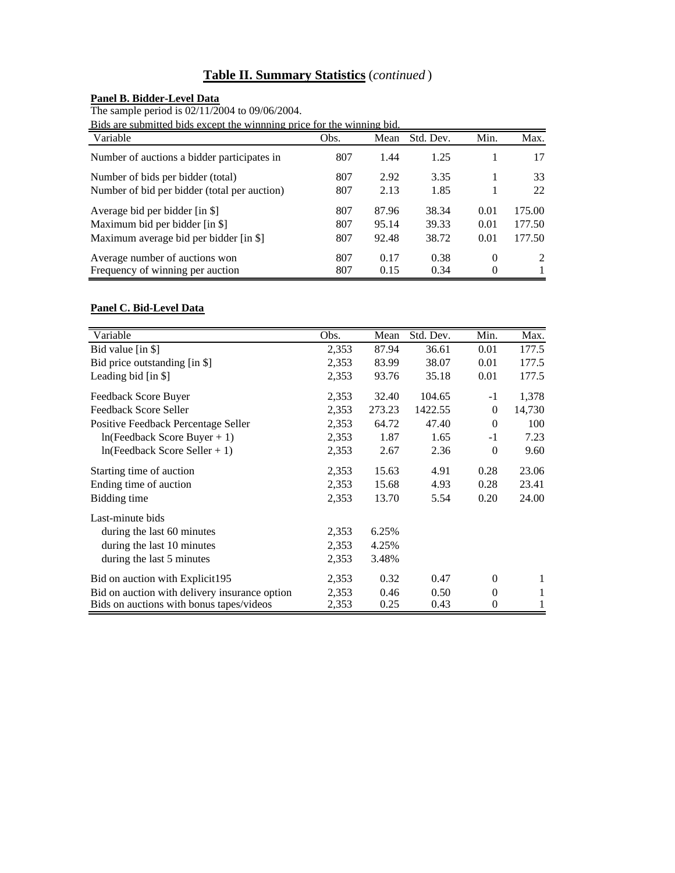# **Table II. Summary Statistics** (*continued* )

#### **Panel B. Bidder-Level Data**

The sample period is 02/11/2004 to 09/06/2004.

Bids are submitted bids except the winnning price for the winning bid.

| Variable                                     | Obs. | Mean  | Std. Dev. | Min.     | Max.   |
|----------------------------------------------|------|-------|-----------|----------|--------|
| Number of auctions a bidder participates in  | 807  | 1.44  | 1.25      |          | 17     |
| Number of bids per bidder (total)            | 807  | 2.92  | 3.35      |          | 33     |
| Number of bid per bidder (total per auction) | 807  | 2.13  | 1.85      |          | 22     |
| Average bid per bidder [in \$]               | 807  | 87.96 | 38.34     | 0.01     | 175.00 |
| Maximum bid per bidder [in \$]               | 807  | 95.14 | 39.33     | 0.01     | 177.50 |
| Maximum average bid per bidder [in \$]       | 807  | 92.48 | 38.72     | 0.01     | 177.50 |
| Average number of auctions won               | 807  | 0.17  | 0.38      | $\Omega$ | 2      |
| Frequency of winning per auction             | 807  | 0.15  | 0.34      | 0        |        |

## **Panel C. Bid-Level Data**

| Variable                                      | Obs.  | Mean   | Std. Dev. | Min.     | Max.   |
|-----------------------------------------------|-------|--------|-----------|----------|--------|
| Bid value [in \$]                             | 2,353 | 87.94  | 36.61     | 0.01     | 177.5  |
| Bid price outstanding [in \$]                 | 2,353 | 83.99  | 38.07     | 0.01     | 177.5  |
| Leading bid [in \$]                           | 2,353 | 93.76  | 35.18     | 0.01     | 177.5  |
| Feedback Score Buyer                          | 2,353 | 32.40  | 104.65    | $-1$     | 1,378  |
| Feedback Score Seller                         | 2,353 | 273.23 | 1422.55   | $\Omega$ | 14,730 |
| Positive Feedback Percentage Seller           | 2,353 | 64.72  | 47.40     | $\theta$ | 100    |
| $ln(Feedback Score Buyer + 1)$                | 2,353 | 1.87   | 1.65      | $-1$     | 7.23   |
| $ln(Feedback Score Seller + 1)$               | 2,353 | 2.67   | 2.36      | $\theta$ | 9.60   |
| Starting time of auction                      | 2,353 | 15.63  | 4.91      | 0.28     | 23.06  |
| Ending time of auction                        | 2,353 | 15.68  | 4.93      | 0.28     | 23.41  |
| Bidding time                                  | 2,353 | 13.70  | 5.54      | 0.20     | 24.00  |
| Last-minute bids                              |       |        |           |          |        |
| during the last 60 minutes                    | 2,353 | 6.25%  |           |          |        |
| during the last 10 minutes                    | 2,353 | 4.25%  |           |          |        |
| during the last 5 minutes                     | 2,353 | 3.48%  |           |          |        |
| Bid on auction with Explicit195               | 2,353 | 0.32   | 0.47      | $\theta$ |        |
| Bid on auction with delivery insurance option | 2,353 | 0.46   | 0.50      | $\theta$ |        |
| Bids on auctions with bonus tapes/videos      | 2,353 | 0.25   | 0.43      | $\theta$ |        |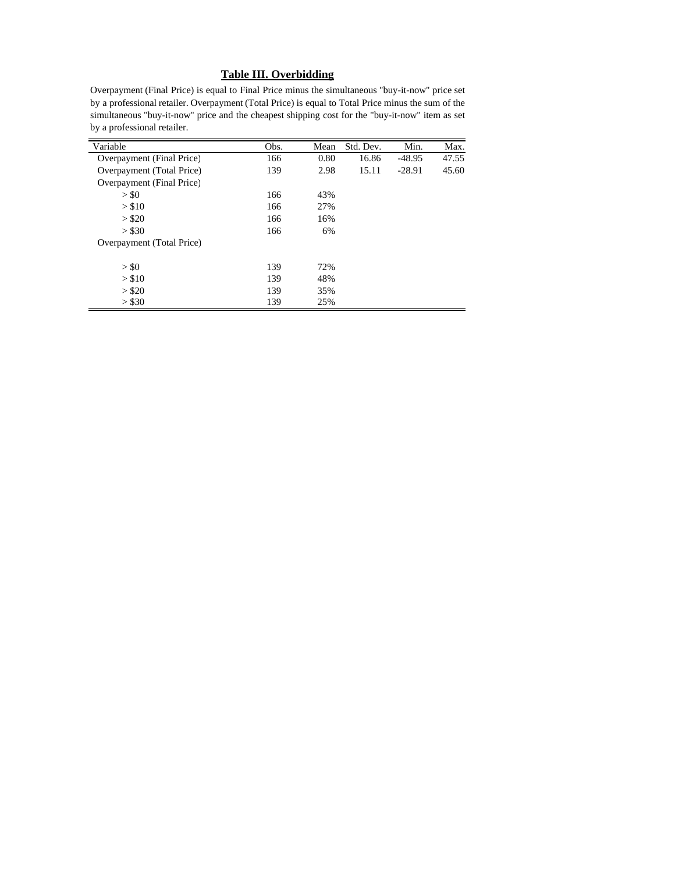#### **Table III. Overbidding**

Overpayment (Final Price) is equal to Final Price minus the simultaneous "buy-it-now'' price set by a professional retailer. Overpayment (Total Price) is equal to Total Price minus the sum of the simultaneous "buy-it-now'' price and the cheapest shipping cost for the "buy-it-now'' item as set by a professional retailer.

| Variable                  | Obs. | Mean | Std. Dev. | Min.     | Max.  |
|---------------------------|------|------|-----------|----------|-------|
| Overpayment (Final Price) | 166  | 0.80 | 16.86     | $-48.95$ | 47.55 |
| Overpayment (Total Price) | 139  | 2.98 | 15.11     | $-28.91$ | 45.60 |
| Overpayment (Final Price) |      |      |           |          |       |
| $>$ \$0                   | 166  | 43%  |           |          |       |
| > \$10                    | 166  | 27%  |           |          |       |
| > \$20                    | 166  | 16%  |           |          |       |
| > \$30                    | 166  | 6%   |           |          |       |
| Overpayment (Total Price) |      |      |           |          |       |
| > \$0                     | 139  | 72%  |           |          |       |
| > \$10                    | 139  | 48%  |           |          |       |
| > \$20                    | 139  | 35%  |           |          |       |
| > \$30                    | 139  | 25%  |           |          |       |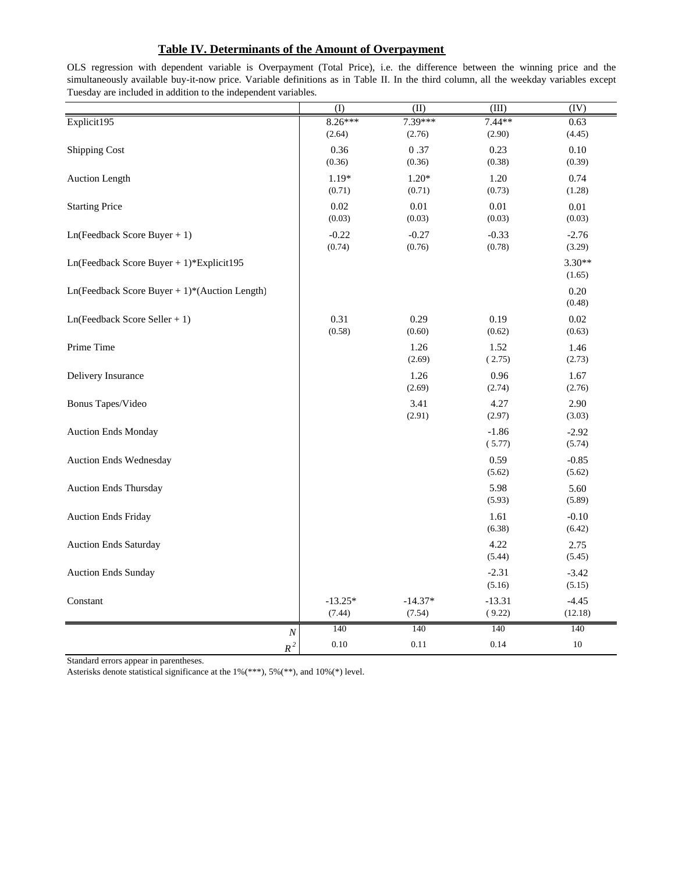### **Table IV. Determinants of the Amount of Overpayment**

(I)  $(II)$   $(III)$   $(IV)$ Explicit195 8.26\*\*\* 7.39\*\*\* 7.44\*\* 0.63  $(2.64)$   $(2.76)$   $(2.90)$   $(4.45)$ Shipping Cost 0.36 0.37 0.23 0.10  $(0.36)$   $(0.36)$   $(0.38)$   $(0.39)$ Auction Length 1.19\* 1.20\* 1.20 0.74  $(0.71)$   $(0.71)$   $(0.73)$   $(1.28)$ Starting Price 0.01 0.01 0.01 0.01 0.01 0.01 0.01  $(0.03)$   $(0.03)$   $(0.03)$   $(0.03)$ Ln(Feedback Score Buyer + 1) -0.22 -0.27 -0.33 -2.76  $(0.74)$   $(0.76)$   $(0.78)$   $(3.29)$ Ln(Feedback Score Buyer + 1)\*Explicit195 3.30\*\* (1.65) Ln(Feedback Score Buyer + 1)\*(Auction Length) 0.20 (0.48) Ln(Feedback Score Seller + 1) 0.31 0.29 0.19 0.02  $(0.58)$   $(0.60)$   $(0.62)$   $(0.63)$ Prime Time 2001 2002 1.52 1.46  $(2.69)$   $(2.73)$ Delivery Insurance 1.26 0.96 1.67  $(2.69)$   $(2.74)$ Bonus Tapes/Video 2.90  $(2.91)$   $(2.97)$   $(3.03)$ Auction Ends Monday **-2.92** -1.86 -2.92 ( 5.77) (5.74) Auction Ends Wednesday and the contract of the contract of the contract of the contract of the contract of the contract of the contract of the contract of the contract of the contract of the contract of the contract of the (5.62) (5.62) Auction Ends Thursday 5.98 5.60 (5.93) (5.89) Auction Ends Friday **1.61** -0.10 (6.38) (6.42) Auction Ends Saturday 2.75 (5.44) (5.45) Auction Ends Sunday -3.42  $(5.16)$   $(5.15)$  $\text{Constant}$  -13.25\* -14.37\* -13.31 -4.45  $(7.44)$   $(7.54)$   $(9.22)$   $(12.18)$ *N* 140 140 140 140 *R*<sup>2</sup> 0.10 0.11 0.14 10

OLS regression with dependent variable is Overpayment (Total Price), i.e. the difference between the winning price and the simultaneously available buy-it-now price. Variable definitions as in Table II. In the third column, all the weekday variables except Tuesday are included in addition to the independent variables.

Standard errors appear in parentheses.

Asterisks denote statistical significance at the 1%(\*\*\*), 5%(\*\*), and 10%(\*) level.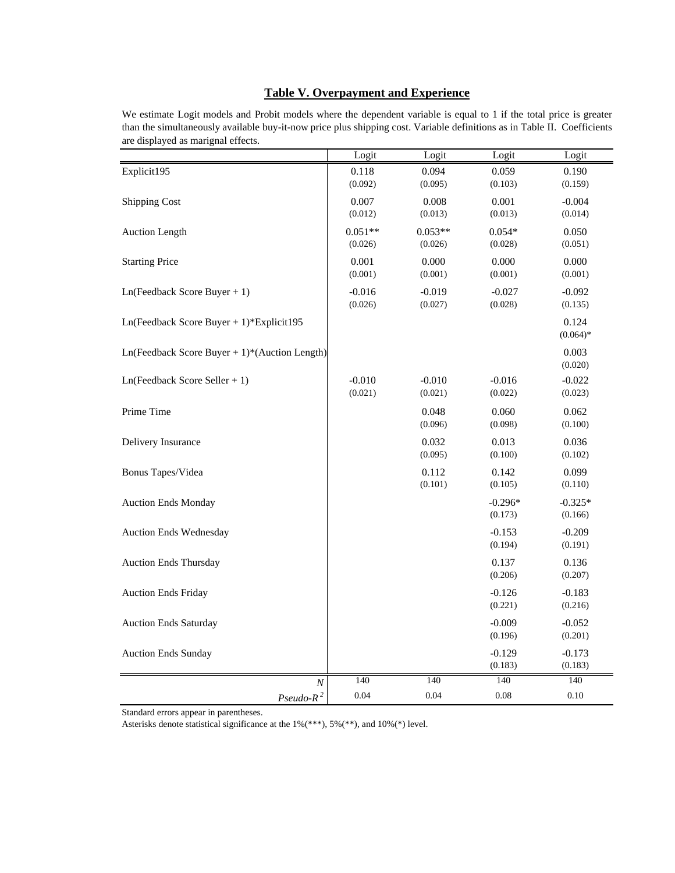#### **Table V. Overpayment and Experience**

We estimate Logit models and Probit models where the dependent variable is equal to 1 if the total price is greater than the simultaneously available buy-it-now price plus shipping cost. Variable definitions as in Table II. Coefficients are displayed as marignal effects.

|                                                 | Logit                | Logit                | Logit                | Logit                |
|-------------------------------------------------|----------------------|----------------------|----------------------|----------------------|
| Explicit195                                     | 0.118<br>(0.092)     | 0.094<br>(0.095)     | 0.059<br>(0.103)     | 0.190<br>(0.159)     |
| <b>Shipping Cost</b>                            | 0.007<br>(0.012)     | 0.008<br>(0.013)     | 0.001<br>(0.013)     | $-0.004$<br>(0.014)  |
| Auction Length                                  | $0.051**$<br>(0.026) | $0.053**$<br>(0.026) | $0.054*$<br>(0.028)  | 0.050<br>(0.051)     |
| <b>Starting Price</b>                           | 0.001<br>(0.001)     | 0.000<br>(0.001)     | 0.000<br>(0.001)     | 0.000<br>(0.001)     |
| $Ln(Feedback Score Buyer + 1)$                  | $-0.016$<br>(0.026)  | $-0.019$<br>(0.027)  | $-0.027$<br>(0.028)  | $-0.092$<br>(0.135)  |
| $Ln(Feedback Score Buyer + 1)*Explicit195$      |                      |                      |                      | 0.124<br>$(0.064)$ * |
| $Ln(Feedback Score Buyer + 1)*(Auction Length)$ |                      |                      |                      | 0.003<br>(0.020)     |
| $Ln(Feedback Score Seller + 1)$                 | $-0.010$<br>(0.021)  | $-0.010$<br>(0.021)  | $-0.016$<br>(0.022)  | $-0.022$<br>(0.023)  |
| Prime Time                                      |                      | 0.048<br>(0.096)     | 0.060<br>(0.098)     | 0.062<br>(0.100)     |
| Delivery Insurance                              |                      | 0.032<br>(0.095)     | 0.013<br>(0.100)     | 0.036<br>(0.102)     |
| Bonus Tapes/Videa                               |                      | 0.112<br>(0.101)     | 0.142<br>(0.105)     | 0.099<br>(0.110)     |
| <b>Auction Ends Monday</b>                      |                      |                      | $-0.296*$<br>(0.173) | $-0.325*$<br>(0.166) |
| Auction Ends Wednesday                          |                      |                      | $-0.153$<br>(0.194)  | $-0.209$<br>(0.191)  |
| <b>Auction Ends Thursday</b>                    |                      |                      | 0.137<br>(0.206)     | 0.136<br>(0.207)     |
| <b>Auction Ends Friday</b>                      |                      |                      | $-0.126$<br>(0.221)  | $-0.183$<br>(0.216)  |
| <b>Auction Ends Saturday</b>                    |                      |                      | $-0.009$<br>(0.196)  | $-0.052$<br>(0.201)  |
| <b>Auction Ends Sunday</b>                      |                      |                      | $-0.129$<br>(0.183)  | $-0.173$<br>(0.183)  |
| $\cal N$                                        | 140                  | 140                  | 140                  | 140                  |
| $Pseudo-R^2$                                    | 0.04                 | 0.04                 | 0.08                 | 0.10                 |

Standard errors appear in parentheses.

Asterisks denote statistical significance at the 1%(\*\*\*), 5%(\*\*), and 10%(\*) level.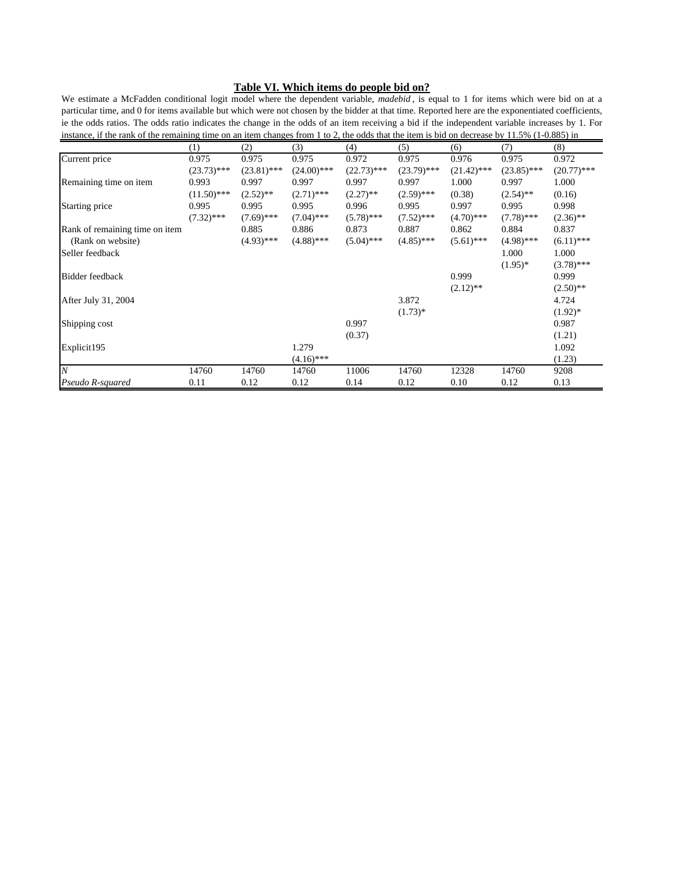#### **Table VI. Which items do people bid on?**

We estimate a McFadden conditional logit model where the dependent variable, *madebid* , is equal to 1 for items which were bid on at a particular time, and 0 for items available but which were not chosen by the bidder at that time. Reported here are the exponentiated coefficients, ie the odds ratios. The odds ratio indicates the change in the odds of an item receiving a bid if the independent variable increases by 1. For instance, if the rank of the remaining time on an item changes from 1 to 2, the odds that the item is bid on decrease by 11.5% (1-0.885) in

|                                | (1)           | (2)           | (3)           | (4)           | (5)           | (6)           | (7)           | (8)           |
|--------------------------------|---------------|---------------|---------------|---------------|---------------|---------------|---------------|---------------|
| Current price                  | 0.975         | 0.975         | 0.975         | 0.972         | 0.975         | 0.976         | 0.975         | 0.972         |
|                                | $(23.73)$ *** | $(23.81)$ *** | $(24.00)$ *** | $(22.73)$ *** | $(23.79)$ *** | $(21.42)$ *** | $(23.85)$ *** | $(20.77)$ *** |
| Remaining time on item         | 0.993         | 0.997         | 0.997         | 0.997         | 0.997         | 1.000         | 0.997         | 1.000         |
|                                | $(11.50)$ *** | $(2.52)$ **   | $(2.71)$ ***  | $(2.27)$ **   | $(2.59)$ ***  | (0.38)        | $(2.54)$ **   | (0.16)        |
| Starting price                 | 0.995         | 0.995         | 0.995         | 0.996         | 0.995         | 0.997         | 0.995         | 0.998         |
|                                | $(7.32)$ ***  | $(7.69)$ ***  | $(7.04)$ ***  | $(5.78)$ ***  | $(7.52)$ ***  | $(4.70)$ ***  | $(7.78)$ ***  | $(2.36)$ **   |
| Rank of remaining time on item |               | 0.885         | 0.886         | 0.873         | 0.887         | 0.862         | 0.884         | 0.837         |
| (Rank on website)              |               | $(4.93)$ ***  | $(4.88)$ ***  | $(5.04)$ ***  | $(4.85)$ ***  | $(5.61)$ ***  | $(4.98)$ ***  | $(6.11)$ ***  |
| Seller feedback                |               |               |               |               |               |               | 1.000         | 1.000         |
|                                |               |               |               |               |               |               | $(1.95)^*$    | $(3.78)$ ***  |
| Bidder feedback                |               |               |               |               |               | 0.999         |               | 0.999         |
|                                |               |               |               |               |               | $(2.12)$ **   |               | $(2.50)$ **   |
| After July 31, 2004            |               |               |               |               | 3.872         |               |               | 4.724         |
|                                |               |               |               |               | $(1.73)*$     |               |               | $(1.92)^*$    |
| Shipping cost                  |               |               |               | 0.997         |               |               |               | 0.987         |
|                                |               |               |               | (0.37)        |               |               |               | (1.21)        |
| Explicit195                    |               |               | 1.279         |               |               |               |               | 1.092         |
|                                |               |               | $(4.16)$ ***  |               |               |               |               | (1.23)        |
| $\overline{N}$                 | 14760         | 14760         | 14760         | 11006         | 14760         | 12328         | 14760         | 9208          |
| Pseudo R-squared               | 0.11          | 0.12          | 0.12          | 0.14          | 0.12          | 0.10          | 0.12          | 0.13          |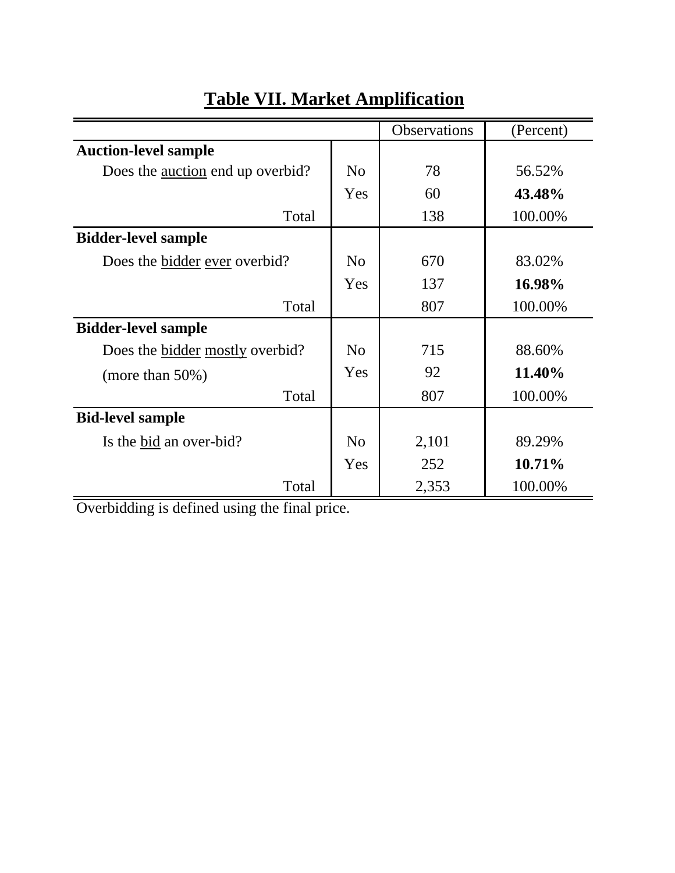|                                         |                | Observations | (Percent) |
|-----------------------------------------|----------------|--------------|-----------|
| <b>Auction-level sample</b>             |                |              |           |
| Does the <u>auction</u> end up overbid? | No             | 78           | 56.52%    |
|                                         | Yes            | 60           | 43.48%    |
| Total                                   |                | 138          | 100.00%   |
| <b>Bidder-level sample</b>              |                |              |           |
| Does the bidder ever overbid?           | N <sub>0</sub> | 670          | 83.02%    |
|                                         | Yes            | 137          | 16.98%    |
| Total                                   |                | 807          | 100.00%   |
| <b>Bidder-level sample</b>              |                |              |           |
| Does the <u>bidder</u> mostly overbid?  | No             | 715          | 88.60%    |
| (more than $50\%$ )                     | Yes            | 92           | 11.40%    |
| Total                                   |                | 807          | 100.00%   |
| <b>Bid-level sample</b>                 |                |              |           |
| Is the bid an over-bid?                 | N <sub>o</sub> | 2,101        | 89.29%    |
|                                         | Yes            | 252          | 10.71%    |
| Total                                   |                | 2,353        | 100.00%   |

# **Table VII. Market Amplification**

Overbidding is defined using the final price.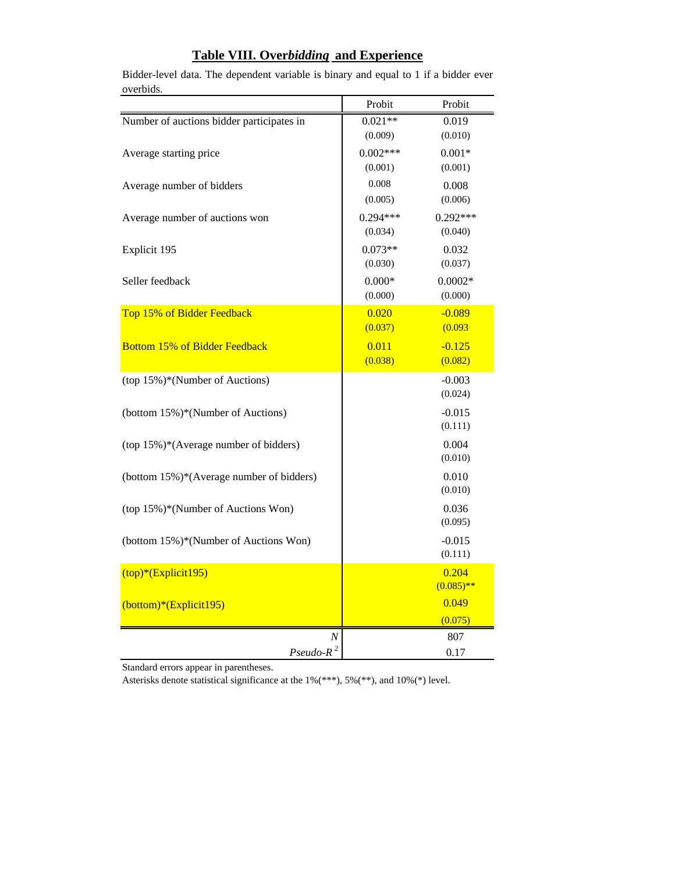|                                           | Probit     | Probit       |
|-------------------------------------------|------------|--------------|
| Number of auctions bidder participates in | $0.021**$  | 0.019        |
|                                           | (0.009)    | (0.010)      |
| Average starting price                    | $0.002***$ | $0.001*$     |
|                                           | (0.001)    | (0.001)      |
| Average number of bidders                 | 0.008      | 0.008        |
|                                           | (0.005)    | (0.006)      |
| Average number of auctions won            | $0.294***$ | $0.292***$   |
|                                           | (0.034)    | (0.040)      |
| Explicit 195                              | $0.073**$  | 0.032        |
|                                           | (0.030)    | (0.037)      |
| Seller feedback                           | $0.000*$   | $0.0002*$    |
|                                           | (0.000)    | (0.000)      |
| Top 15% of Bidder Feedback                | 0.020      | $-0.089$     |
|                                           | (0.037)    | (0.093)      |
| <b>Bottom 15% of Bidder Feedback</b>      | 0.011      | $-0.125$     |
|                                           | (0.038)    | (0.082)      |
| (top 15%)*(Number of Auctions)            |            | $-0.003$     |
|                                           |            | (0.024)      |
| (bottom 15%)*(Number of Auctions)         |            | $-0.015$     |
|                                           |            | (0.111)      |
| (top 15%)*(Average number of bidders)     |            | 0.004        |
|                                           |            | (0.010)      |
| (bottom 15%)*(Average number of bidders)  |            | 0.010        |
|                                           |            | (0.010)      |
| (top 15%)*(Number of Auctions Won)        |            | 0.036        |
|                                           |            | (0.095)      |
| (bottom 15%)*(Number of Auctions Won)     |            | $-0.015$     |
|                                           |            | (0.111)      |
| $(top)*(Explicit195)$                     |            | 0.204        |
|                                           |            | $(0.085)$ ** |
| (bottom)*(Explicit195)                    |            | 0.049        |
|                                           |            | (0.075)      |
| Ν                                         |            | 807          |
| $Pseudo-R^2$                              |            | 0.17         |

Bidder-level data. The dependent variable is binary and equal to 1 if a bidder ever overbids.

**Table VIII. Over***bidding* **and Experience**

Standard errors appear in parentheses.

Asterisks denote statistical significance at the 1%(\*\*\*), 5%(\*\*), and 10%(\*) level.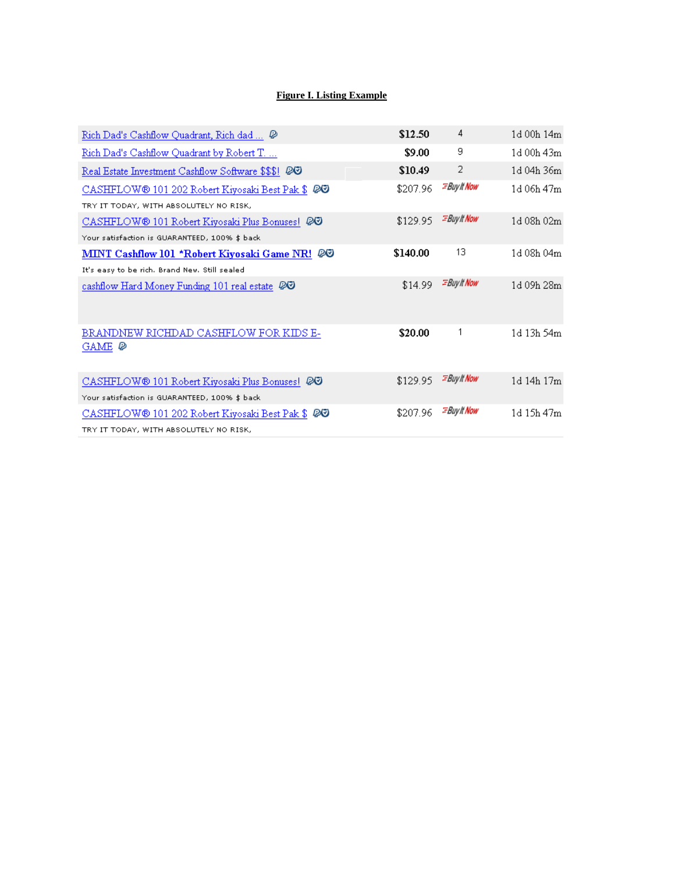## **Figure I. Listing Example**

| Rich Dad's Cashflow Quadrant, Rich dad  @                                                                   | \$12.50  | 4                         | 1d 00h 14m |
|-------------------------------------------------------------------------------------------------------------|----------|---------------------------|------------|
| Rich Dad's Cashflow Quadrant by Robert T                                                                    | \$9.00   | 9                         | 1d 00h 43m |
| Real Estate Investment Cashflow Software \$\$\$! @@                                                         | \$10.49  | 2                         | 1d 04h 36m |
| CASHFLOW <sup>®</sup> 101 202 Robert Kiyosaki Best Pak \$ 20                                                | \$207.96 | <b>EBuy It Now</b>        | 1d 06h 47m |
| TRY IT TODAY, WITH ABSOLUTELY NO RISK,                                                                      |          |                           |            |
| CASHFLOW <sup>®</sup> 101 Robert Kiyosaki Plus Bonuses! 20                                                  | \$129.95 | <b><i>EBuylt Now</i></b>  | 1d 08h 02m |
| Your satisfaction is GUARANTEED, 100% \$ back                                                               |          |                           |            |
| MINT Cashflow 101 *Robert Kiyosaki Game NR! @@                                                              | \$140.00 | 13                        | 1d 08h 04m |
| It's easy to be rich. Brand New, Still sealed                                                               |          |                           |            |
| cashflow Hard Money Funding 101 real estate $\oslash$                                                       | \$14.99  | <b><i>EBuylt Now</i></b>  | 1d 09h 28m |
| BRANDNEW RICHDAD CASHFLOW FOR KIDS E-<br>GAME Ø                                                             | \$20.00  | 1                         | 1d 13h 54m |
| CASHFLOW <sup>®</sup> 101 Robert Kiyosaki Plus Bonuses! 20<br>Your satisfaction is GUARANTEED, 100% \$ back | \$129.95 | <b><i>EBuy It Now</i></b> | 1d 14h 17m |
| CASHFLOW® 101 202 Robert Kiyosaki Best Pak \$ 20                                                            | \$207.96 | <b>EBuy It Now</b>        | 1d 15h 47m |
|                                                                                                             |          |                           |            |
| TRY IT TODAY, WITH ABSOLUTELY NO RISK,                                                                      |          |                           |            |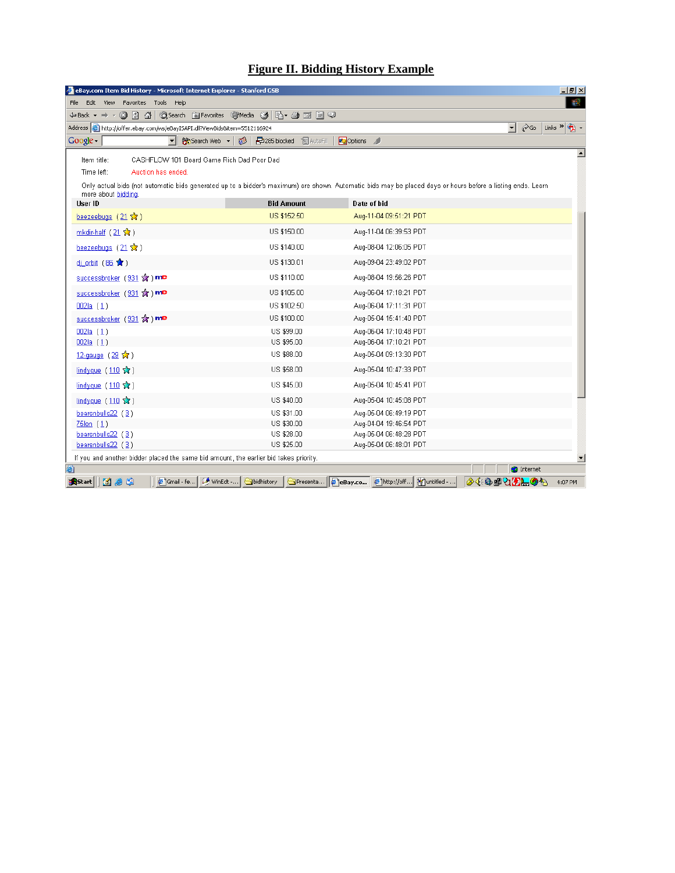# **Figure II. Bidding History Example**

| eBay.com Item Bid History - Microsoft Internet Explorer - Stanford GSB                                                                                                                                                                                                             |                                |                                                                                           | $  $ $ $ $\times$                                                                |
|------------------------------------------------------------------------------------------------------------------------------------------------------------------------------------------------------------------------------------------------------------------------------------|--------------------------------|-------------------------------------------------------------------------------------------|----------------------------------------------------------------------------------|
| Edit View Favorites Tools Help<br>File                                                                                                                                                                                                                                             |                                |                                                                                           | 編                                                                                |
|                                                                                                                                                                                                                                                                                    |                                |                                                                                           |                                                                                  |
| Address (e) http://offer.ebay.com/ws/eBayISAPI.dll?ViewBids&item=5512116924                                                                                                                                                                                                        |                                |                                                                                           | $\hat{\alpha}$ Go<br>G)<br>$\overline{\phantom{a}}$<br>Links <sup>&gt;&gt;</sup> |
| ᅱ<br>第 Search Web → <mark>1</mark><br>Google                                                                                                                                                                                                                                       | <b>中285 blocked</b> 图 AutoFill | <b>Pu</b> Options                                                                         |                                                                                  |
| CASHFLOW 101 Board Game Rich Dad Poor Dad<br>Item title:<br>Time left:<br>Auction has ended.<br>Only actual bids (not automatic bids generated up to a bidder's maximum) are shown. Automatic bids may be placed days or hours before a listing ends. Learn<br>more about bidding. |                                |                                                                                           |                                                                                  |
| User ID                                                                                                                                                                                                                                                                            | <b>Bid Amount</b>              | Date of bid                                                                               |                                                                                  |
| beezeebugs $(21 \times)$                                                                                                                                                                                                                                                           | US \$152.50                    | Aug-11-04 09:51:21 PDT                                                                    |                                                                                  |
| mkdir-half (21 ☆)                                                                                                                                                                                                                                                                  | US \$150.00                    | Aug-11-04 06:39:53 PDT                                                                    |                                                                                  |
| beezeebugs $(21 \sqrt{3})$                                                                                                                                                                                                                                                         | US \$140.00                    | Aug-08-04 12:06:05 PDT                                                                    |                                                                                  |
| dj_orbit (86 ★)                                                                                                                                                                                                                                                                    | US \$130.01                    | Aug-09-04 23:49:02 PDT                                                                    |                                                                                  |
| successbroker (931 %) me                                                                                                                                                                                                                                                           | US \$110.00                    | Aug-08-04 19:56:26 PDT                                                                    |                                                                                  |
| successbroker (931 %) me                                                                                                                                                                                                                                                           | US \$105.00                    | Aug-06-04 17:18:21 PDT                                                                    |                                                                                  |
| 002a(1)                                                                                                                                                                                                                                                                            | US \$102.50                    | Aug-06-04 17:11:31 PDT                                                                    |                                                                                  |
| successbroker (931 %) me                                                                                                                                                                                                                                                           | US \$100.00                    | Aug-05-04 15:41:40 PDT                                                                    |                                                                                  |
| 002a(1)                                                                                                                                                                                                                                                                            | US \$99.00                     | Aug-06-04 17:10:48 PDT                                                                    |                                                                                  |
| 002a(1)                                                                                                                                                                                                                                                                            | US \$95.00                     | Aug-06-04 17:10:21 PDT                                                                    |                                                                                  |
| 12-gauge (29 ☆)                                                                                                                                                                                                                                                                    | US \$88.00                     | Aug-05-04 09:13:30 PDT                                                                    |                                                                                  |
| lindyque (110 %)                                                                                                                                                                                                                                                                   | US \$58.00                     | Aug-05-04 10:47:33 PDT                                                                    |                                                                                  |
| lindyque (110 ☆)                                                                                                                                                                                                                                                                   | US \$45.00                     | Aug-05-04 10:45:41 PDT                                                                    |                                                                                  |
| lindyque $(110 \sqrt{x})$                                                                                                                                                                                                                                                          | US \$40.00                     | Aug-05-04 10:45:08 PDT                                                                    |                                                                                  |
| bearsnbulls22 (3)                                                                                                                                                                                                                                                                  | US \$31.00                     | Aug-05-04 06:49:19 PDT                                                                    |                                                                                  |
| $75$ lon $(1)$                                                                                                                                                                                                                                                                     | US \$30.00                     | Aug-04-04 19:46:54 PDT                                                                    |                                                                                  |
| bearsnbulls22 (3)                                                                                                                                                                                                                                                                  | US \$28.00                     | Aug-05-04 06:48:28 PDT                                                                    |                                                                                  |
| bearsnbulls22 (3)                                                                                                                                                                                                                                                                  | US \$25.00                     | Aug-05-04 06:48:01 PDT                                                                    |                                                                                  |
| If you and another bidder placed the same bid amount, the earlier bid takes priority.                                                                                                                                                                                              |                                |                                                                                           | $\overline{\phantom{a}}$                                                         |
|                                                                                                                                                                                                                                                                                    |                                |                                                                                           | <b>O</b> Internet                                                                |
| Bistart    面 ● 喻                                                                                                                                                                                                                                                                   |                                | Ginail - fe   MinEdt -   Sbidhistory   SPresenta   @ eBay.co   @ http://off   Muntitled - | <b>◈ፋ·© ⊞2171-0</b> %<br>4:07 PM                                                 |